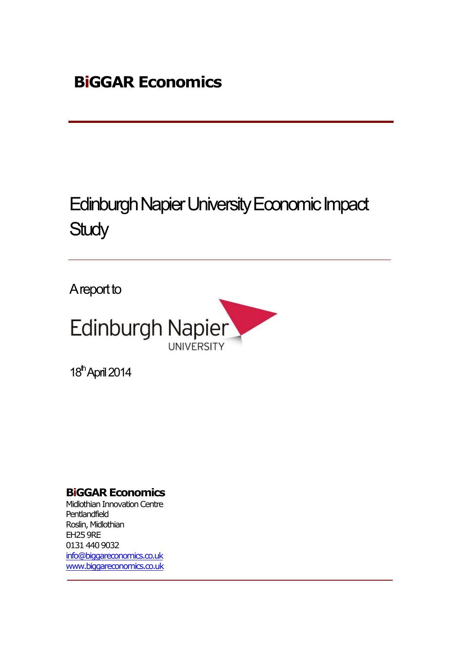# Edinburgh Napier University Economic Impact **Study**

A report to



18<sup>th</sup> April 2014

## **BiGGAR Economics**

Midlothian Innovation Centre Pentlandfield Roslin, Midlothian EH25 9RE 0131 440 9032 info@biggareconomics.co.uk www.biggareconomics.co.uk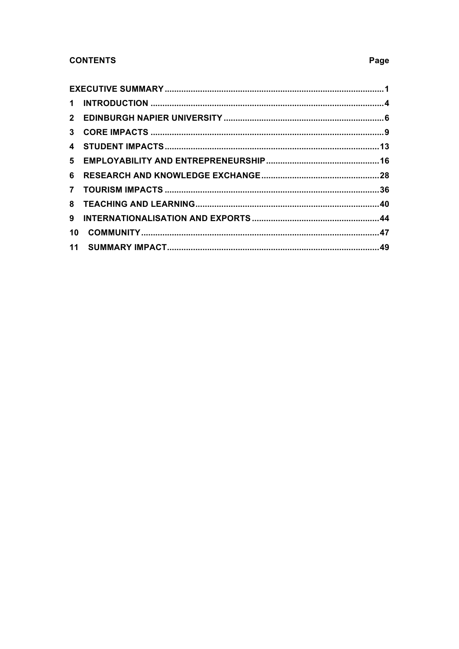### **CONTENTS**

| 6              |  |
|----------------|--|
| $\overline{7}$ |  |
|                |  |
| 9              |  |
| 10             |  |
|                |  |

### Page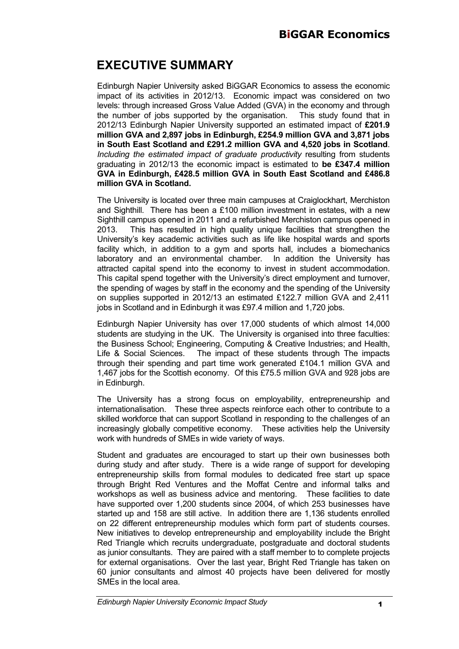## **EXECUTIVE SUMMARY**

Edinburgh Napier University asked BiGGAR Economics to assess the economic impact of its activities in 2012/13. Economic impact was considered on two levels: through increased Gross Value Added (GVA) in the economy and through the number of jobs supported by the organisation. This study found that in 2012/13 Edinburgh Napier University supported an estimated impact of **£201.9 million GVA and 2,897 jobs in Edinburgh, £254.9 million GVA and 3,871 jobs in South East Scotland and £291.2 million GVA and 4,520 jobs in Scotland**. *Including the estimated impact of graduate productivity* resulting from students graduating in 2012/13 the economic impact is estimated to **be £347.4 million GVA in Edinburgh, £428.5 million GVA in South East Scotland and £486.8 million GVA in Scotland.**

The University is located over three main campuses at Craiglockhart, Merchiston and Sighthill. There has been a £100 million investment in estates, with a new Sighthill campus opened in 2011 and a refurbished Merchiston campus opened in 2013. This has resulted in high quality unique facilities that strengthen the University's key academic activities such as life like hospital wards and sports facility which, in addition to a gym and sports hall, includes a biomechanics laboratory and an environmental chamber. In addition the University has attracted capital spend into the economy to invest in student accommodation. This capital spend together with the University's direct employment and turnover, the spending of wages by staff in the economy and the spending of the University on supplies supported in 2012/13 an estimated £122.7 million GVA and 2,411 jobs in Scotland and in Edinburgh it was £97.4 million and 1,720 jobs.

Edinburgh Napier University has over 17,000 students of which almost 14,000 students are studying in the UK. The University is organised into three faculties: the Business School; Engineering, Computing & Creative Industries; and Health, Life & Social Sciences. The impact of these students through The impacts through their spending and part time work generated £104.1 million GVA and 1,467 jobs for the Scottish economy. Of this £75.5 million GVA and 928 jobs are in Edinburgh.

The University has a strong focus on employability, entrepreneurship and internationalisation. These three aspects reinforce each other to contribute to a skilled workforce that can support Scotland in responding to the challenges of an increasingly globally competitive economy. These activities help the University work with hundreds of SMEs in wide variety of ways.

Student and graduates are encouraged to start up their own businesses both during study and after study. There is a wide range of support for developing entrepreneurship skills from formal modules to dedicated free start up space through Bright Red Ventures and the Moffat Centre and informal talks and workshops as well as business advice and mentoring. These facilities to date have supported over 1,200 students since 2004, of which 253 businesses have started up and 158 are still active. In addition there are 1,136 students enrolled on 22 different entrepreneurship modules which form part of students courses. New initiatives to develop entrepreneurship and employability include the Bright Red Triangle which recruits undergraduate, postgraduate and doctoral students as junior consultants. They are paired with a staff member to to complete projects for external organisations. Over the last year, Bright Red Triangle has taken on 60 junior consultants and almost 40 projects have been delivered for mostly SMEs in the local area.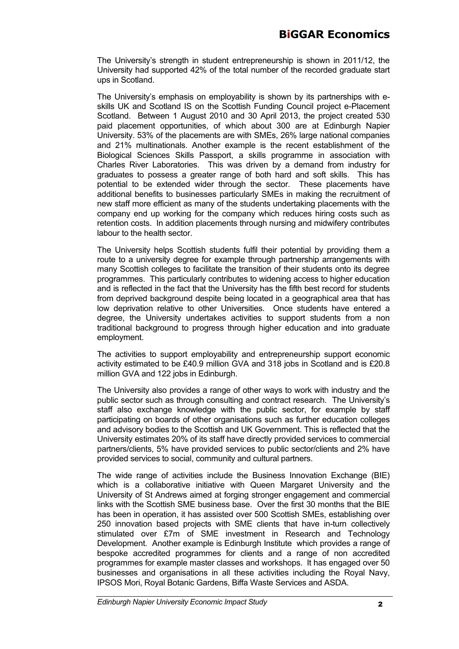The University's strength in student entrepreneurship is shown in 2011/12, the University had supported 42% of the total number of the recorded graduate start ups in Scotland.

The University's emphasis on employability is shown by its partnerships with eskills UK and Scotland IS on the Scottish Funding Council project e-Placement Scotland. Between 1 August 2010 and 30 April 2013, the project created 530 paid placement opportunities, of which about 300 are at Edinburgh Napier University. 53% of the placements are with SMEs, 26% large national companies and 21% multinationals. Another example is the recent establishment of the Biological Sciences Skills Passport, a skills programme in association with Charles River Laboratories. This was driven by a demand from industry for graduates to possess a greater range of both hard and soft skills. This has potential to be extended wider through the sector. These placements have additional benefits to businesses particularly SMEs in making the recruitment of new staff more efficient as many of the students undertaking placements with the company end up working for the company which reduces hiring costs such as retention costs. In addition placements through nursing and midwifery contributes labour to the health sector.

The University helps Scottish students fulfil their potential by providing them a route to a university degree for example through partnership arrangements with many Scottish colleges to facilitate the transition of their students onto its degree programmes. This particularly contributes to widening access to higher education and is reflected in the fact that the University has the fifth best record for students from deprived background despite being located in a geographical area that has low deprivation relative to other Universities. Once students have entered a degree, the University undertakes activities to support students from a non traditional background to progress through higher education and into graduate employment.

The activities to support employability and entrepreneurship support economic activity estimated to be £40.9 million GVA and 318 jobs in Scotland and is £20.8 million GVA and 122 jobs in Edinburgh.

The University also provides a range of other ways to work with industry and the public sector such as through consulting and contract research. The University's staff also exchange knowledge with the public sector, for example by staff participating on boards of other organisations such as further education colleges and advisory bodies to the Scottish and UK Government. This is reflected that the University estimates 20% of its staff have directly provided services to commercial partners/clients, 5% have provided services to public sector/clients and 2% have provided services to social, community and cultural partners.

The wide range of activities include the Business Innovation Exchange (BIE) which is a collaborative initiative with Queen Margaret University and the University of St Andrews aimed at forging stronger engagement and commercial links with the Scottish SME business base. Over the first 30 months that the BIE has been in operation, it has assisted over 500 Scottish SMEs, establishing over 250 innovation based projects with SME clients that have in-turn collectively stimulated over £7m of SME investment in Research and Technology Development. Another example is Edinburgh Institute which provides a range of bespoke accredited programmes for clients and a range of non accredited programmes for example master classes and workshops. It has engaged over 50 businesses and organisations in all these activities including the Royal Navy, IPSOS Mori, Royal Botanic Gardens, Biffa Waste Services and ASDA.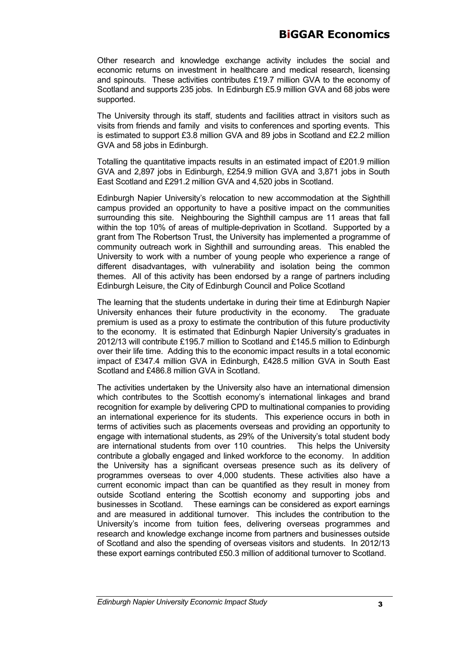Other research and knowledge exchange activity includes the social and economic returns on investment in healthcare and medical research, licensing and spinouts. These activities contributes £19.7 million GVA to the economy of Scotland and supports 235 jobs. In Edinburgh £5.9 million GVA and 68 jobs were supported.

The University through its staff, students and facilities attract in visitors such as visits from friends and family and visits to conferences and sporting events. This is estimated to support £3.8 million GVA and 89 jobs in Scotland and £2.2 million GVA and 58 jobs in Edinburgh.

Totalling the quantitative impacts results in an estimated impact of £201.9 million GVA and 2,897 jobs in Edinburgh, £254.9 million GVA and 3,871 jobs in South East Scotland and £291.2 million GVA and 4,520 jobs in Scotland.

Edinburgh Napier University's relocation to new accommodation at the Sighthill campus provided an opportunity to have a positive impact on the communities surrounding this site. Neighbouring the Sighthill campus are 11 areas that fall within the top 10% of areas of multiple-deprivation in Scotland. Supported by a grant from The Robertson Trust, the University has implemented a programme of community outreach work in Sighthill and surrounding areas. This enabled the University to work with a number of young people who experience a range of different disadvantages, with vulnerability and isolation being the common themes. All of this activity has been endorsed by a range of partners including Edinburgh Leisure, the City of Edinburgh Council and Police Scotland

The learning that the students undertake in during their time at Edinburgh Napier University enhances their future productivity in the economy. The graduate premium is used as a proxy to estimate the contribution of this future productivity to the economy. It is estimated that Edinburgh Napier University's graduates in 2012/13 will contribute £195.7 million to Scotland and £145.5 million to Edinburgh over their life time. Adding this to the economic impact results in a total economic impact of £347.4 million GVA in Edinburgh, £428.5 million GVA in South East Scotland and £486.8 million GVA in Scotland.

The activities undertaken by the University also have an international dimension which contributes to the Scottish economy's international linkages and brand recognition for example by delivering CPD to multinational companies to providing an international experience for its students. This experience occurs in both in terms of activities such as placements overseas and providing an opportunity to engage with international students, as 29% of the University's total student body are international students from over 110 countries. This helps the University contribute a globally engaged and linked workforce to the economy. In addition the University has a significant overseas presence such as its delivery of programmes overseas to over 4,000 students. These activities also have a current economic impact than can be quantified as they result in money from outside Scotland entering the Scottish economy and supporting jobs and businesses in Scotland. These earnings can be considered as export earnings and are measured in additional turnover. This includes the contribution to the University's income from tuition fees, delivering overseas programmes and research and knowledge exchange income from partners and businesses outside of Scotland and also the spending of overseas visitors and students. In 2012/13 these export earnings contributed £50.3 million of additional turnover to Scotland.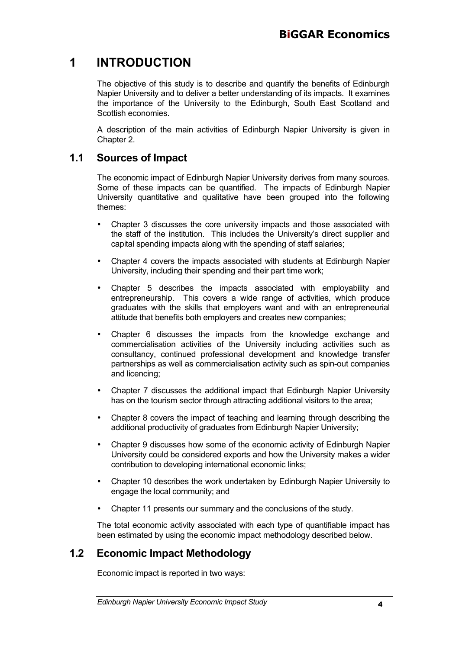## **1 INTRODUCTION**

The objective of this study is to describe and quantify the benefits of Edinburgh Napier University and to deliver a better understanding of its impacts. It examines the importance of the University to the Edinburgh, South East Scotland and Scottish economies.

A description of the main activities of Edinburgh Napier University is given in Chapter 2.

### **1.1 Sources of Impact**

The economic impact of Edinburgh Napier University derives from many sources. Some of these impacts can be quantified. The impacts of Edinburgh Napier University quantitative and qualitative have been grouped into the following themes:

- Chapter 3 discusses the core university impacts and those associated with the staff of the institution. This includes the University's direct supplier and capital spending impacts along with the spending of staff salaries;
- Chapter 4 covers the impacts associated with students at Edinburgh Napier University, including their spending and their part time work;
- Chapter 5 describes the impacts associated with employability and entrepreneurship. This covers a wide range of activities, which produce graduates with the skills that employers want and with an entrepreneurial attitude that benefits both employers and creates new companies;
- Chapter 6 discusses the impacts from the knowledge exchange and commercialisation activities of the University including activities such as consultancy, continued professional development and knowledge transfer partnerships as well as commercialisation activity such as spin-out companies and licencing;
- Chapter 7 discusses the additional impact that Edinburgh Napier University has on the tourism sector through attracting additional visitors to the area;
- Chapter 8 covers the impact of teaching and learning through describing the additional productivity of graduates from Edinburgh Napier University;
- Chapter 9 discusses how some of the economic activity of Edinburgh Napier University could be considered exports and how the University makes a wider contribution to developing international economic links;
- Chapter 10 describes the work undertaken by Edinburgh Napier University to engage the local community; and
- Chapter 11 presents our summary and the conclusions of the study.

The total economic activity associated with each type of quantifiable impact has been estimated by using the economic impact methodology described below.

## **1.2 Economic Impact Methodology**

Economic impact is reported in two ways: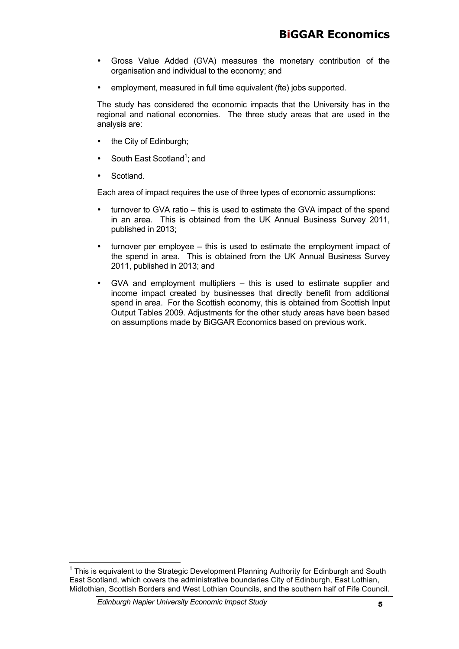- Gross Value Added (GVA) measures the monetary contribution of the organisation and individual to the economy; and
- employment, measured in full time equivalent (fte) jobs supported.

The study has considered the economic impacts that the University has in the regional and national economies. The three study areas that are used in the analysis are:

- the City of Edinburgh;
- South East Scotland<sup>1</sup>; and
- Scotland.

Each area of impact requires the use of three types of economic assumptions:

- turnover to GVA ratio this is used to estimate the GVA impact of the spend in an area. This is obtained from the UK Annual Business Survey 2011, published in 2013;
- turnover per employee this is used to estimate the employment impact of the spend in area. This is obtained from the UK Annual Business Survey 2011, published in 2013; and
- GVA and employment multipliers this is used to estimate supplier and income impact created by businesses that directly benefit from additional spend in area. For the Scottish economy, this is obtained from Scottish Input Output Tables 2009. Adjustments for the other study areas have been based on assumptions made by BiGGAR Economics based on previous work.

 $1$  This is equivalent to the Strategic Development Planning Authority for Edinburgh and South East Scotland, which covers the administrative boundaries City of Edinburgh, East Lothian, Midlothian, Scottish Borders and West Lothian Councils, and the southern half of Fife Council.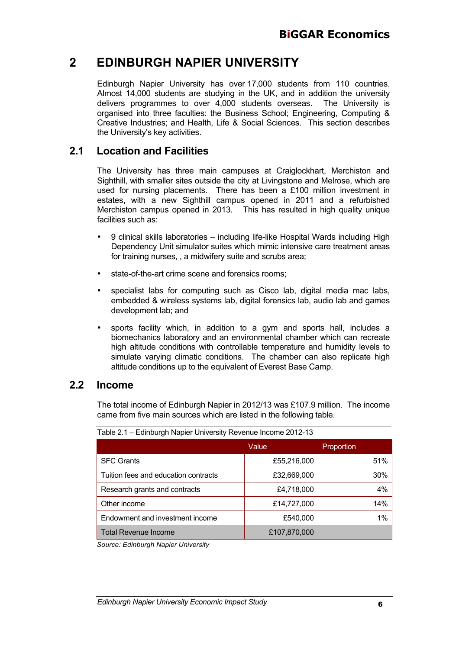## **2 EDINBURGH NAPIER UNIVERSITY**

Edinburgh Napier University has over 17,000 students from 110 countries. Almost 14,000 students are studying in the UK, and in addition the university delivers programmes to over 4,000 students overseas. The University is organised into three faculties: the Business School; Engineering, Computing & Creative Industries; and Health, Life & Social Sciences. This section describes the University's key activities.

### **2.1 Location and Facilities**

The University has three main campuses at Craiglockhart, Merchiston and Sighthill, with smaller sites outside the city at Livingstone and Melrose, which are used for nursing placements. There has been a £100 million investment in estates, with a new Sighthill campus opened in 2011 and a refurbished Merchiston campus opened in 2013. This has resulted in high quality unique facilities such as:

- 9 clinical skills laboratories including life-like Hospital Wards including High Dependency Unit simulator suites which mimic intensive care treatment areas for training nurses, , a midwifery suite and scrubs area;
- state-of-the-art crime scene and forensics rooms;
- specialist labs for computing such as Cisco lab, digital media mac labs, embedded & wireless systems lab, digital forensics lab, audio lab and games development lab; and
- sports facility which, in addition to a gym and sports hall, includes a biomechanics laboratory and an environmental chamber which can recreate high altitude conditions with controllable temperature and humidity levels to simulate varying climatic conditions. The chamber can also replicate high altitude conditions up to the equivalent of Everest Base Camp.

### **2.2 Income**

The total income of Edinburgh Napier in 2012/13 was £107.9 million. The income came from five main sources which are listed in the following table.

|                                      | Value        | Proportion |
|--------------------------------------|--------------|------------|
| <b>SFC Grants</b>                    | £55,216,000  | 51%        |
| Tuition fees and education contracts | £32,669,000  | 30%        |
| Research grants and contracts        | £4,718,000   | 4%         |
| Other income                         | £14,727,000  | 14%        |
| Endowment and investment income      | £540,000     | 1%         |
| <b>Total Revenue Income</b>          | £107,870,000 |            |

Table 2.1 – Edinburgh Napier University Revenue Income 2012-13

*Source: Edinburgh Napier University*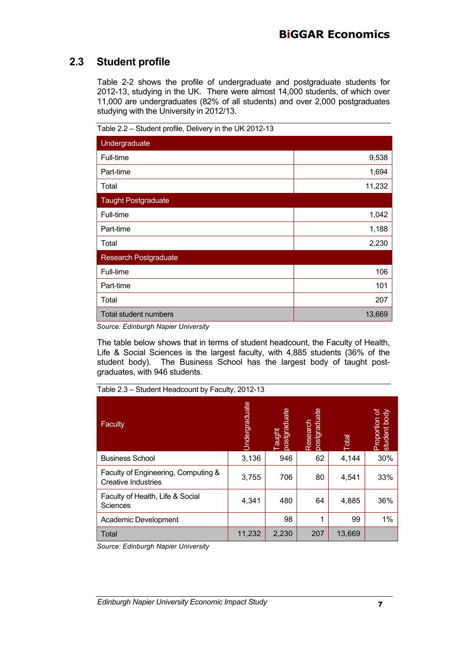## **2.3 Student profile**

Table 2-2 shows the profile of undergraduate and postgraduate students for 2012-13, studying in the UK. There were almost 14,000 students, of which over 11,000 are undergraduates (82% of all students) and over 2,000 postgraduates studying with the University in 2012/13.

| $\frac{1}{2}$ and $\frac{1}{2}$ and $\frac{1}{2}$ and $\frac{1}{2}$ and $\frac{1}{2}$ and $\frac{1}{2}$ and $\frac{1}{2}$ and $\frac{1}{2}$ and $\frac{1}{2}$ and $\frac{1}{2}$ and $\frac{1}{2}$ and $\frac{1}{2}$ and $\frac{1}{2}$ and $\frac{1}{2}$ and $\frac{1}{2}$ and $\frac{1}{2}$ a |        |  |  |  |
|-----------------------------------------------------------------------------------------------------------------------------------------------------------------------------------------------------------------------------------------------------------------------------------------------|--------|--|--|--|
| Undergraduate                                                                                                                                                                                                                                                                                 |        |  |  |  |
| Full-time                                                                                                                                                                                                                                                                                     | 9,538  |  |  |  |
| Part-time                                                                                                                                                                                                                                                                                     | 1,694  |  |  |  |
| Total                                                                                                                                                                                                                                                                                         | 11,232 |  |  |  |
| <b>Taught Postgraduate</b>                                                                                                                                                                                                                                                                    |        |  |  |  |
| Full-time                                                                                                                                                                                                                                                                                     | 1,042  |  |  |  |
| Part-time                                                                                                                                                                                                                                                                                     | 1,188  |  |  |  |
| Total                                                                                                                                                                                                                                                                                         | 2,230  |  |  |  |
| <b>Research Postgraduate</b>                                                                                                                                                                                                                                                                  |        |  |  |  |
| Full-time                                                                                                                                                                                                                                                                                     | 106    |  |  |  |
| Part-time                                                                                                                                                                                                                                                                                     | 101    |  |  |  |
| Total                                                                                                                                                                                                                                                                                         | 207    |  |  |  |
| <b>Total student numbers</b>                                                                                                                                                                                                                                                                  | 13,669 |  |  |  |

Table 2.2 – Student profile, Delivery in the UK 2012-13

*Source: Edinburgh Napier University*

The table below shows that in terms of student headcount, the Faculty of Health, Life & Social Sciences is the largest faculty, with 4,885 students (36% of the student body). The Business School has the largest body of taught postgraduates, with 946 students.

| Table 2.3 – Student Headcount by Faculty, 2012-13 |  |  |
|---------------------------------------------------|--|--|
|                                                   |  |  |

| <b>Faculty</b>                                                    | Jndergraduate | postgraduate<br><b>Taught</b> | postgraduate<br>Research | <b>Iepo</b> | Proportion of<br>student body |
|-------------------------------------------------------------------|---------------|-------------------------------|--------------------------|-------------|-------------------------------|
| <b>Business School</b>                                            | 3,136         | 946                           | 62                       | 4,144       | 30%                           |
| Faculty of Engineering, Computing &<br><b>Creative Industries</b> | 3,755         | 706                           | 80                       | 4,541       | 33%                           |
| Faculty of Health, Life & Social<br>Sciences                      | 4,341         | 480                           | 64                       | 4,885       | 36%                           |
| Academic Development                                              |               | 98                            | 1                        | 99          | 1%                            |
| <b>Total</b>                                                      | 11,232        | 2,230                         | 207                      | 13,669      |                               |

*Source: Edinburgh Napier University*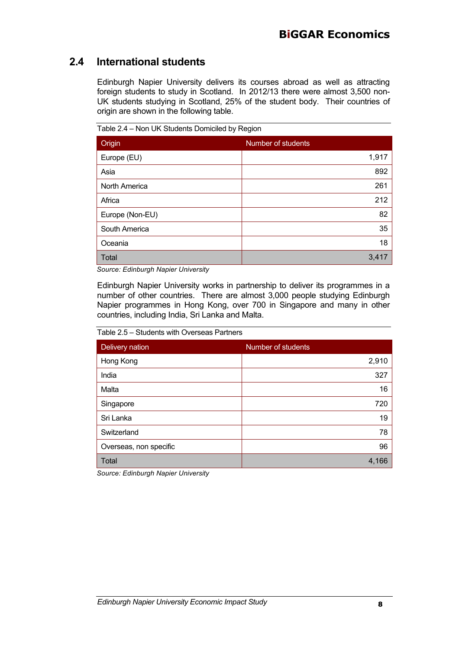## **2.4 International students**

Edinburgh Napier University delivers its courses abroad as well as attracting foreign students to study in Scotland. In 2012/13 there were almost 3,500 non-UK students studying in Scotland, 25% of the student body. Their countries of origin are shown in the following table.

Origin Number of students Europe (EU) 1,917 Asia 892 North America 261 Africa 212 Europe (Non-EU) 82 South America 35 Oceania 18 Total  $3,417$ 

Table 2.4 – Non UK Students Domiciled by Region

*Source: Edinburgh Napier University*

Edinburgh Napier University works in partnership to deliver its programmes in a number of other countries. There are almost 3,000 people studying Edinburgh Napier programmes in Hong Kong, over 700 in Singapore and many in other countries, including India, Sri Lanka and Malta.

Table 2.5 – Students with Overseas Partners

| Delivery nation        | Number of students |
|------------------------|--------------------|
| Hong Kong              | 2,910              |
| India                  | 327                |
| Malta                  | 16                 |
| Singapore              | 720                |
| Sri Lanka              | 19                 |
| Switzerland            | 78                 |
| Overseas, non specific | 96                 |
| <b>Total</b>           | 4,166              |

*Source: Edinburgh Napier University*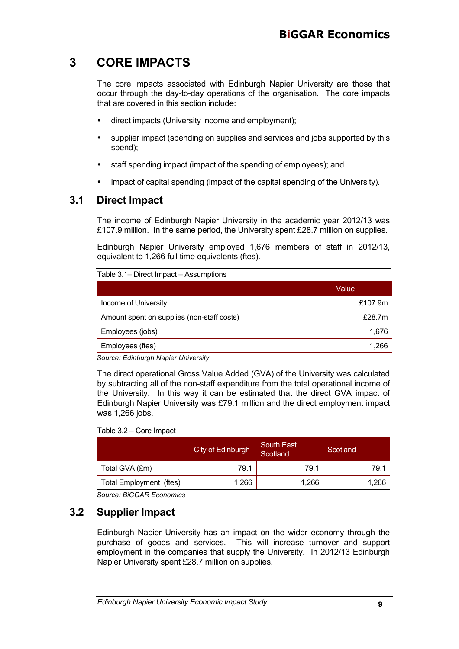## **3 CORE IMPACTS**

The core impacts associated with Edinburgh Napier University are those that occur through the day-to-day operations of the organisation. The core impacts that are covered in this section include:

- direct impacts (University income and employment);
- supplier impact (spending on supplies and services and jobs supported by this spend);
- staff spending impact (impact of the spending of employees); and
- impact of capital spending (impact of the capital spending of the University).

### **3.1 Direct Impact**

The income of Edinburgh Napier University in the academic year 2012/13 was £107.9 million. In the same period, the University spent £28.7 million on supplies.

Edinburgh Napier University employed 1,676 members of staff in 2012/13, equivalent to 1,266 full time equivalents (ftes).

Table 3.1– Direct Impact – Assumptions

|                                            | Value   |
|--------------------------------------------|---------|
| Income of University                       | £107.9m |
| Amount spent on supplies (non-staff costs) | £28.7m  |
| Employees (jobs)                           | 1,676   |
| Employees (ftes)                           | 1.266   |

*Source: Edinburgh Napier University*

The direct operational Gross Value Added (GVA) of the University was calculated by subtracting all of the non-staff expenditure from the total operational income of the University. In this way it can be estimated that the direct GVA impact of Edinburgh Napier University was £79.1 million and the direct employment impact was 1,266 jobs.

#### Table 3.2 – Core Impact

|                         | City of Edinburgh | South East<br>Scotland | Scotland |
|-------------------------|-------------------|------------------------|----------|
| Total GVA (£m)          | 79.1              | 79.1                   | 79.1     |
| Total Employment (ftes) | 1.266             | 1.266                  | 1,266    |

*Source: BiGGAR Economics* 

### **3.2 Supplier Impact**

Edinburgh Napier University has an impact on the wider economy through the purchase of goods and services. This will increase turnover and support employment in the companies that supply the University. In 2012/13 Edinburgh Napier University spent £28.7 million on supplies.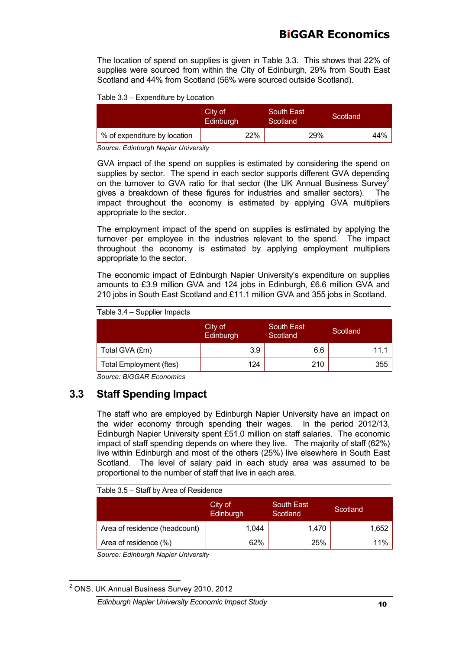## **BiGGAR Economics**

The location of spend on supplies is given in Table 3.3. This shows that 22% of supplies were sourced from within the City of Edinburgh, 29% from South East Scotland and 44% from Scotland (56% were sourced outside Scotland).

Table 3.3 – Expenditure by Location

|                              | City of<br>Edinburgh | <b>South East</b><br>Scotland <sup>1</sup> | Scotland |
|------------------------------|----------------------|--------------------------------------------|----------|
| % of expenditure by location | 22%                  | 29%                                        | 44%      |

*Source: Edinburgh Napier University*

GVA impact of the spend on supplies is estimated by considering the spend on supplies by sector. The spend in each sector supports different GVA depending on the turnover to GVA ratio for that sector (the UK Annual Business Survey<sup>2</sup> gives a breakdown of these figures for industries and smaller sectors). The impact throughout the economy is estimated by applying GVA multipliers appropriate to the sector.

The employment impact of the spend on supplies is estimated by applying the turnover per employee in the industries relevant to the spend. The impact throughout the economy is estimated by applying employment multipliers appropriate to the sector.

The economic impact of Edinburgh Napier University's expenditure on supplies amounts to £3.9 million GVA and 124 jobs in Edinburgh, £6.6 million GVA and 210 jobs in South East Scotland and £11.1 million GVA and 355 jobs in Scotland.

City of **Edinburgh** South East Scotland<br>Scotland Scotland Total GVA  $(\text{Em})$  3.9 6.6 11.1 Total Employment (ftes) | 124 | 210 | 355

Table 3.4 – Supplier Impacts

*Source: BiGGAR Economics* 

### **3.3 Staff Spending Impact**

The staff who are employed by Edinburgh Napier University have an impact on the wider economy through spending their wages. In the period 2012/13, Edinburgh Napier University spent £51.0 million on staff salaries. The economic impact of staff spending depends on where they live. The majority of staff (62%) live within Edinburgh and most of the others (25%) live elsewhere in South East Scotland. The level of salary paid in each study area was assumed to be proportional to the number of staff that live in each area.

Table 3.5 – Staff by Area of Residence

|                               | City of<br>Edinburgh | South East<br>Scotland | Scotland |
|-------------------------------|----------------------|------------------------|----------|
| Area of residence (headcount) | 1.044                | 1.470                  | 1,652    |
| Area of residence (%)         | 62%                  | 25%                    | 11%      |

*Source: Edinburgh Napier University*

<sup>2</sup> ONS, UK Annual Business Survey 2010, 2012

*Edinburgh Napier University Economic Impact Study* 10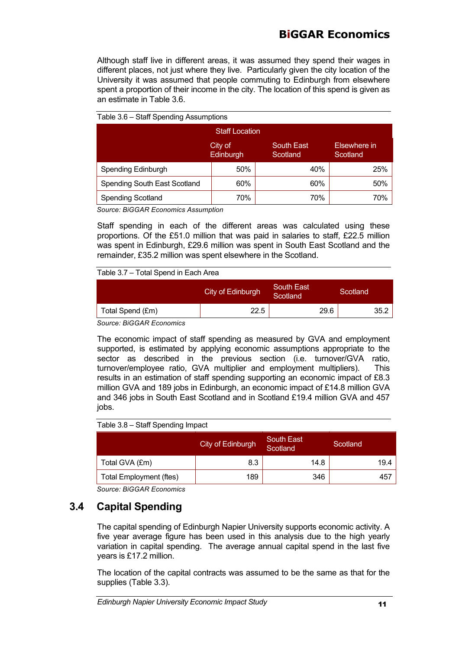## **BiGGAR Economics**

Although staff live in different areas, it was assumed they spend their wages in different places, not just where they live. Particularly given the city location of the University it was assumed that people commuting to Edinburgh from elsewhere spent a proportion of their income in the city. The location of this spend is given as an estimate in Table 3.6.

| Table 3.6 – Staff Spending Assumptions                                            |     |     |     |  |  |
|-----------------------------------------------------------------------------------|-----|-----|-----|--|--|
| <b>Staff Location</b>                                                             |     |     |     |  |  |
| <b>South East</b><br>Elsewhere in<br>City of<br>Edinburgh<br>Scotland<br>Scotland |     |     |     |  |  |
| Spending Edinburgh                                                                | 50% | 40% | 25% |  |  |
| <b>Spending South East Scotland</b>                                               | 60% | 60% | 50% |  |  |
| <b>Spending Scotland</b>                                                          | 70% | 70% | 70% |  |  |

*Source: BiGGAR Economics Assumption*

Staff spending in each of the different areas was calculated using these proportions. Of the £51.0 million that was paid in salaries to staff, £22.5 million was spent in Edinburgh, £29.6 million was spent in South East Scotland and the remainder, £35.2 million was spent elsewhere in the Scotland.

#### Table 3.7 – Total Spend in Each Area

|                                 | City of Edinburgh | South East<br>Scotland | Scotland |
|---------------------------------|-------------------|------------------------|----------|
| Total Spend (£m)                | 22.5              | 29.6                   | 35.2     |
| Course: <i>DICCAD</i> Esonomics |                   |                        |          |

*Source: BiGGAR Economics*

The economic impact of staff spending as measured by GVA and employment supported, is estimated by applying economic assumptions appropriate to the sector as described in the previous section (i.e. turnover/GVA ratio, turnover/employee ratio, GVA multiplier and employment multipliers). This results in an estimation of staff spending supporting an economic impact of £8.3 million GVA and 189 jobs in Edinburgh, an economic impact of £14.8 million GVA and 346 jobs in South East Scotland and in Scotland £19.4 million GVA and 457 jobs.

#### Table 3.8 – Staff Spending Impact

|                                | City of Edinburgh | <b>South East</b><br>Scotland | Scotland |
|--------------------------------|-------------------|-------------------------------|----------|
| Total GVA (£m)                 | 8.3               | 14.8                          | 19.4     |
| <b>Total Employment (ftes)</b> | 189               | 346                           | 457      |

*Source: BiGGAR Economics* 

### **3.4 Capital Spending**

The capital spending of Edinburgh Napier University supports economic activity. A five year average figure has been used in this analysis due to the high yearly variation in capital spending. The average annual capital spend in the last five years is £17.2 million.

The location of the capital contracts was assumed to be the same as that for the supplies (Table 3.3).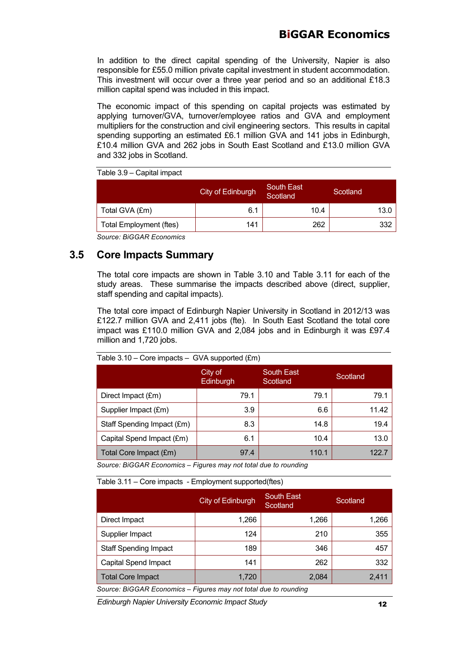In addition to the direct capital spending of the University, Napier is also responsible for £55.0 million private capital investment in student accommodation. This investment will occur over a three year period and so an additional £18.3 million capital spend was included in this impact.

The economic impact of this spending on capital projects was estimated by applying turnover/GVA, turnover/employee ratios and GVA and employment multipliers for the construction and civil engineering sectors. This results in capital spending supporting an estimated £6.1 million GVA and 141 jobs in Edinburgh, £10.4 million GVA and 262 jobs in South East Scotland and £13.0 million GVA and 332 jobs in Scotland.

Table 3.9 – Capital impact

| City of Edinburgh | South East<br>Scotland | Scotland |
|-------------------|------------------------|----------|
| 6.1               | 10.4                   | 13.0     |
| 141               | 262                    | 332      |
|                   |                        |          |

*Source: BiGGAR Economics* 

### **3.5 Core Impacts Summary**

The total core impacts are shown in Table 3.10 and Table 3.11 for each of the study areas. These summarise the impacts described above (direct, supplier, staff spending and capital impacts).

The total core impact of Edinburgh Napier University in Scotland in 2012/13 was £122.7 million GVA and 2,411 jobs (fte). In South East Scotland the total core impact was £110.0 million GVA and 2,084 jobs and in Edinburgh it was £97.4 million and 1,720 jobs.

|                            | City of<br>Edinburgh | <b>South East</b><br>Scotland | Scotland |
|----------------------------|----------------------|-------------------------------|----------|
| Direct Impact (£m)         | 79.1                 | 79.1                          | 79.1     |
| Supplier Impact (£m)       | 3.9                  | 6.6                           | 11.42    |
| Staff Spending Impact (£m) | 8.3                  | 14.8                          | 19.4     |
| Capital Spend Impact (£m)  | 6.1                  | 10.4                          | 13.0     |
| Total Core Impact (£m)     | 97.4                 | 110.1                         | 122.7    |

Table 3.10 – Core impacts – GVA supported (£m)

*Source: BiGGAR Economics – Figures may not total due to rounding*

Table 3.11 – Core impacts - Employment supported(ftes)

|                              | City of Edinburgh | <b>South East</b><br>Scotland | Scotland |
|------------------------------|-------------------|-------------------------------|----------|
| Direct Impact                | 1,266             | 1,266                         | 1,266    |
| Supplier Impact              | 124               | 210                           | 355      |
| <b>Staff Spending Impact</b> | 189               | 346                           | 457      |
| <b>Capital Spend Impact</b>  | 141               | 262                           | 332      |
| <b>Total Core Impact</b>     | 1,720             | 2,084                         | 2,411    |

*Source: BiGGAR Economics – Figures may not total due to rounding*

*Edinburgh Napier University Economic Impact Study* 12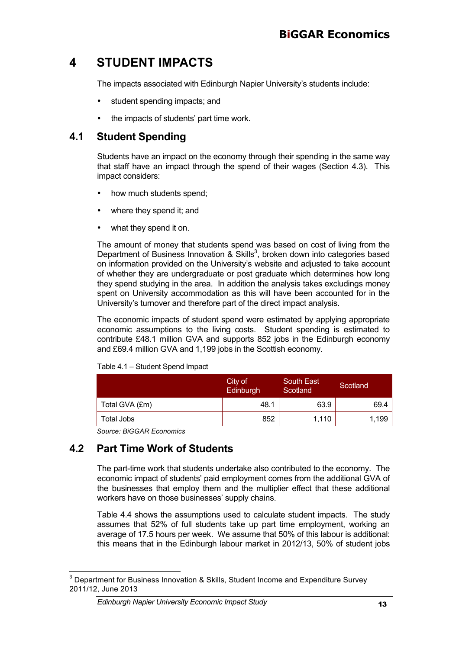## **4 STUDENT IMPACTS**

The impacts associated with Edinburgh Napier University's students include:

- student spending impacts; and
- the impacts of students' part time work.

### **4.1 Student Spending**

Students have an impact on the economy through their spending in the same way that staff have an impact through the spend of their wages (Section 4.3). This impact considers:

- how much students spend;
- where they spend it; and
- what they spend it on.

The amount of money that students spend was based on cost of living from the Department of Business Innovation & Skills<sup>3</sup>, broken down into categories based on information provided on the University's website and adjusted to take account of whether they are undergraduate or post graduate which determines how long they spend studying in the area. In addition the analysis takes excludings money spent on University accommodation as this will have been accounted for in the University's turnover and therefore part of the direct impact analysis.

The economic impacts of student spend were estimated by applying appropriate economic assumptions to the living costs. Student spending is estimated to contribute £48.1 million GVA and supports 852 jobs in the Edinburgh economy and £69.4 million GVA and 1,199 jobs in the Scottish economy.

|                | City of<br>Edinburgh | <b>South East</b><br>Scotland | Scotland |
|----------------|----------------------|-------------------------------|----------|
| Total GVA (£m) | 48.1                 | 63.9                          | 69.4     |
| Total Jobs     | 852                  | 1,110                         | 1,199    |

Table 4.1 – Student Spend Impact

*Source: BiGGAR Economics*

## **4.2 Part Time Work of Students**

The part-time work that students undertake also contributed to the economy. The economic impact of students' paid employment comes from the additional GVA of the businesses that employ them and the multiplier effect that these additional workers have on those businesses' supply chains.

Table 4.4 shows the assumptions used to calculate student impacts. The study assumes that 52% of full students take up part time employment, working an average of 17.5 hours per week. We assume that 50% of this labour is additional: this means that in the Edinburgh labour market in 2012/13, 50% of student jobs

 $3$  Department for Business Innovation & Skills, Student Income and Expenditure Survey 2011/12, June 2013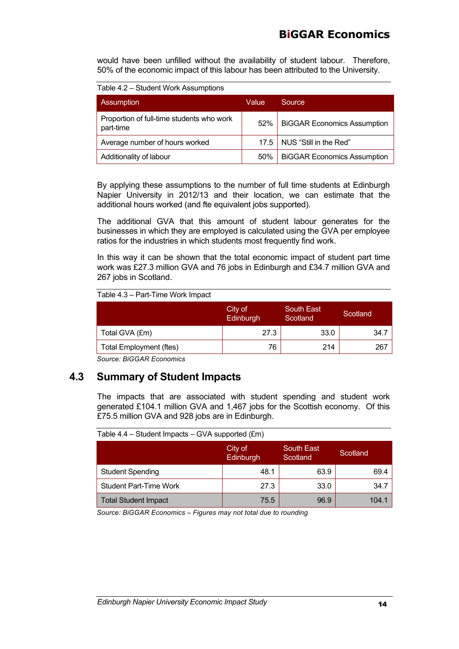## **BiGGAR Economics**

would have been unfilled without the availability of student labour. Therefore, 50% of the economic impact of this labour has been attributed to the University.

Table 4.2 – Student Work Assumptions

| Assumption                                             | Value | Source                             |
|--------------------------------------------------------|-------|------------------------------------|
| Proportion of full-time students who work<br>part-time | 52%   | <b>BiGGAR Economics Assumption</b> |
| Average number of hours worked                         | 17.5  | NUS "Still in the Red"             |
| Additionality of labour                                | 50%   | <b>BiGGAR Economics Assumption</b> |

By applying these assumptions to the number of full time students at Edinburgh Napier University in 2012/13 and their location, we can estimate that the additional hours worked (and fte equivalent jobs supported).

The additional GVA that this amount of student labour generates for the businesses in which they are employed is calculated using the GVA per employee ratios for the industries in which students most frequently find work.

In this way it can be shown that the total economic impact of student part time work was £27.3 million GVA and 76 jobs in Edinburgh and £34.7 million GVA and 267 jobs in Scotland.

| Table 4.3 – Part-Time Work Impact |
|-----------------------------------|
|-----------------------------------|

| City of<br>Edinburgh | <b>South East</b><br>Scotland | Scotland |
|----------------------|-------------------------------|----------|
| 27.3                 | 33.0                          | -34.7    |
| 76                   | 214                           | 267      |
|                      |                               |          |

*Source: BiGGAR Economics* 

### **4.3 Summary of Student Impacts**

The impacts that are associated with student spending and student work generated £104.1 million GVA and 1,467 jobs for the Scottish economy. Of this £75.5 million GVA and 928 jobs are in Edinburgh.

|                               | City of<br>Edinburgh | South East<br>Scotland | Scotland |
|-------------------------------|----------------------|------------------------|----------|
| <b>Student Spending</b>       | 48.1                 | 63.9                   | 69.4     |
| <b>Student Part-Time Work</b> | 27.3                 | 33.0                   | 34.7     |
| <b>Total Student Impact</b>   | 75.5                 | 96.9                   | 104.1    |

Table  $4.4 -$  Student Impacts – GVA supported ( $f$ m)

*Source: BiGGAR Economics – Figures may not total due to rounding*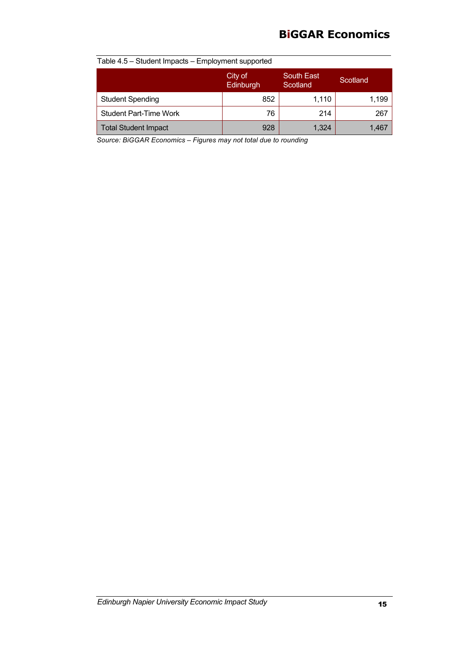## **BiGGAR Economics**

| Table 4.5 – Student Impacts – Employment supported |                      |                               |          |  |  |
|----------------------------------------------------|----------------------|-------------------------------|----------|--|--|
|                                                    | City of<br>Edinburgh | <b>South East</b><br>Scotland | Scotland |  |  |
| <b>Student Spending</b>                            | 852                  | 1,110                         | 1,199    |  |  |
| <b>Student Part-Time Work</b>                      | 76                   | 214                           | 267      |  |  |
| <b>Total Student Impact</b>                        | 928                  | 1.324                         | 1,467    |  |  |

*Source: BiGGAR Economics – Figures may not total due to rounding*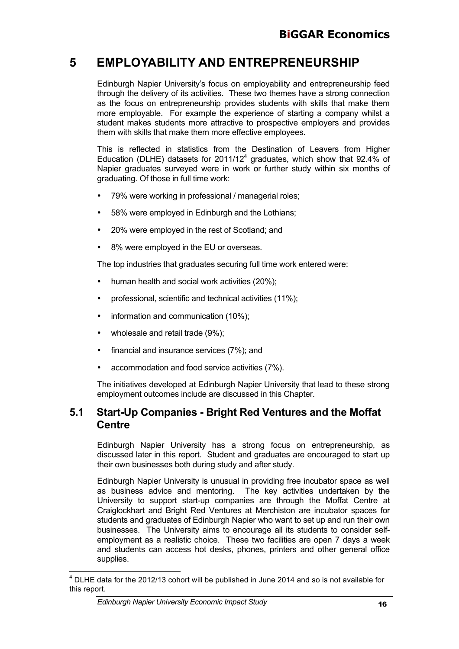## **5 EMPLOYABILITY AND ENTREPRENEURSHIP**

Edinburgh Napier University's focus on employability and entrepreneurship feed through the delivery of its activities. These two themes have a strong connection as the focus on entrepreneurship provides students with skills that make them more employable. For example the experience of starting a company whilst a student makes students more attractive to prospective employers and provides them with skills that make them more effective employees.

This is reflected in statistics from the Destination of Leavers from Higher Education (DLHE) datasets for  $2011/12<sup>4</sup>$  graduates, which show that 92.4% of Napier graduates surveyed were in work or further study within six months of graduating. Of those in full time work:

- 79% were working in professional / managerial roles;
- 58% were employed in Edinburgh and the Lothians;
- 20% were employed in the rest of Scotland; and
- 8% were employed in the EU or overseas.

The top industries that graduates securing full time work entered were:

- human health and social work activities (20%);
- professional, scientific and technical activities (11%);
- information and communication (10%);
- wholesale and retail trade (9%);
- financial and insurance services (7%); and
- accommodation and food service activities (7%).

The initiatives developed at Edinburgh Napier University that lead to these strong employment outcomes include are discussed in this Chapter.

## **5.1 Start-Up Companies - Bright Red Ventures and the Moffat Centre**

Edinburgh Napier University has a strong focus on entrepreneurship, as discussed later in this report. Student and graduates are encouraged to start up their own businesses both during study and after study.

Edinburgh Napier University is unusual in providing free incubator space as well as business advice and mentoring. The key activities undertaken by the University to support start-up companies are through the Moffat Centre at Craiglockhart and Bright Red Ventures at Merchiston are incubator spaces for students and graduates of Edinburgh Napier who want to set up and run their own businesses. The University aims to encourage all its students to consider selfemployment as a realistic choice. These two facilities are open 7 days a week and students can access hot desks, phones, printers and other general office supplies.

<sup>4</sup> DLHE data for the 2012/13 cohort will be published in June 2014 and so is not available for this report.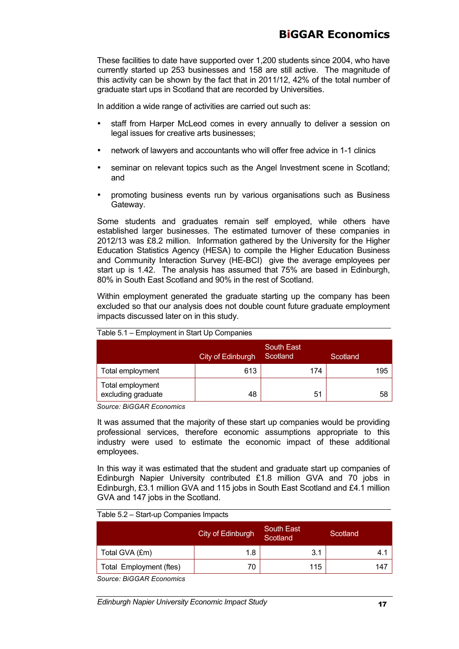These facilities to date have supported over 1,200 students since 2004, who have currently started up 253 businesses and 158 are still active. The magnitude of this activity can be shown by the fact that in 2011/12, 42% of the total number of graduate start ups in Scotland that are recorded by Universities.

In addition a wide range of activities are carried out such as:

- staff from Harper McLeod comes in every annually to deliver a session on legal issues for creative arts businesses;
- network of lawyers and accountants who will offer free advice in 1-1 clinics
- seminar on relevant topics such as the Angel Investment scene in Scotland; and
- promoting business events run by various organisations such as Business Gateway.

Some students and graduates remain self employed, while others have established larger businesses. The estimated turnover of these companies in 2012/13 was £8.2 million. Information gathered by the University for the Higher Education Statistics Agency (HESA) to compile the Higher Education Business and Community Interaction Survey (HE-BCI) give the average employees per start up is 1.42. The analysis has assumed that 75% are based in Edinburgh, 80% in South East Scotland and 90% in the rest of Scotland.

Within employment generated the graduate starting up the company has been excluded so that our analysis does not double count future graduate employment impacts discussed later on in this study.

|                                        | City of Edinburgh | <b>South East</b><br>Scotland | Scotland |
|----------------------------------------|-------------------|-------------------------------|----------|
| Total employment                       | 613               | 174                           | 195      |
| Total employment<br>excluding graduate | 48                | 51                            | 58       |

| Table 5.1 - Employment in Start Up Companies |  |  |
|----------------------------------------------|--|--|
|----------------------------------------------|--|--|

*Source: BiGGAR Economics*

It was assumed that the majority of these start up companies would be providing professional services, therefore economic assumptions appropriate to this industry were used to estimate the economic impact of these additional employees.

In this way it was estimated that the student and graduate start up companies of Edinburgh Napier University contributed £1.8 million GVA and 70 jobs in Edinburgh, £3.1 million GVA and 115 jobs in South East Scotland and £4.1 million GVA and 147 jobs in the Scotland.

#### Table 5.2 – Start-up Companies Impacts

|                         | City of Edinburgh | 'South East<br>Scotland | Scotland |
|-------------------------|-------------------|-------------------------|----------|
| Total GVA (£m)          | 1.8               | 3.1                     | 4.1      |
| Total Employment (ftes) | 70                | 115                     | 147      |

*Source: BiGGAR Economics*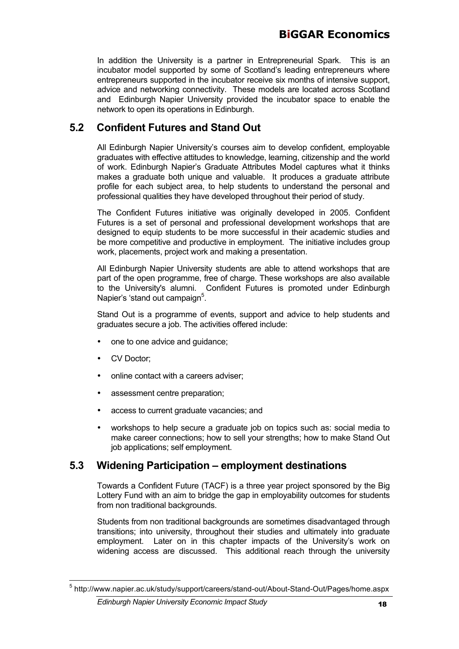In addition the University is a partner in Entrepreneurial Spark. This is an incubator model supported by some of Scotland's leading entrepreneurs where entrepreneurs supported in the incubator receive six months of intensive support, advice and networking connectivity. These models are located across Scotland and Edinburgh Napier University provided the incubator space to enable the network to open its operations in Edinburgh.

## **5.2 Confident Futures and Stand Out**

All Edinburgh Napier University's courses aim to develop confident, employable graduates with effective attitudes to knowledge, learning, citizenship and the world of work. Edinburgh Napier's Graduate Attributes Model captures what it thinks makes a graduate both unique and valuable. It produces a graduate attribute profile for each subject area, to help students to understand the personal and professional qualities they have developed throughout their period of study.

The Confident Futures initiative was originally developed in 2005. Confident Futures is a set of personal and professional development workshops that are designed to equip students to be more successful in their academic studies and be more competitive and productive in employment. The initiative includes group work, placements, project work and making a presentation.

All Edinburgh Napier University students are able to attend workshops that are part of the open programme, free of charge. These workshops are also available to the University's alumni. Confident Futures is promoted under Edinburgh Napier's 'stand out campaign<sup>5</sup>.

Stand Out is a programme of events, support and advice to help students and graduates secure a job. The activities offered include:

- one to one advice and guidance;
- CV Doctor;
- online contact with a careers adviser;
- assessment centre preparation:
- access to current graduate vacancies; and
- workshops to help secure a graduate job on topics such as: social media to make career connections; how to sell your strengths; how to make Stand Out job applications; self employment.

## **5.3 Widening Participation – employment destinations**

Towards a Confident Future (TACF) is a three year project sponsored by the Big Lottery Fund with an aim to bridge the gap in employability outcomes for students from non traditional backgrounds.

Students from non traditional backgrounds are sometimes disadvantaged through transitions; into university, throughout their studies and ultimately into graduate employment. Later on in this chapter impacts of the University's work on widening access are discussed. This additional reach through the university

<sup>5</sup> http://www.napier.ac.uk/study/support/careers/stand-out/About-Stand-Out/Pages/home.aspx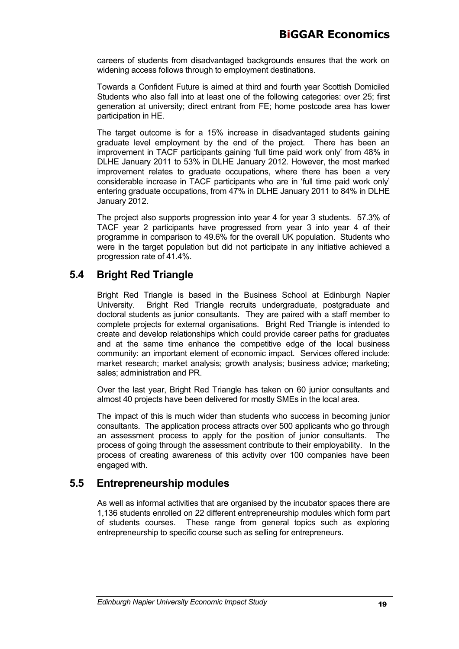careers of students from disadvantaged backgrounds ensures that the work on widening access follows through to employment destinations.

Towards a Confident Future is aimed at third and fourth year Scottish Domiciled Students who also fall into at least one of the following categories: over 25; first generation at university; direct entrant from FE; home postcode area has lower participation in HE.

The target outcome is for a 15% increase in disadvantaged students gaining graduate level employment by the end of the project. There has been an improvement in TACF participants gaining 'full time paid work only' from 48% in DLHE January 2011 to 53% in DLHE January 2012. However, the most marked improvement relates to graduate occupations, where there has been a very considerable increase in TACF participants who are in 'full time paid work only' entering graduate occupations, from 47% in DLHE January 2011 to 84% in DLHE January 2012.

The project also supports progression into year 4 for year 3 students. 57.3% of TACF year 2 participants have progressed from year 3 into year 4 of their programme in comparison to 49.6% for the overall UK population. Students who were in the target population but did not participate in any initiative achieved a progression rate of 41.4%.

## **5.4 Bright Red Triangle**

Bright Red Triangle is based in the Business School at Edinburgh Napier University. Bright Red Triangle recruits undergraduate, postgraduate and doctoral students as junior consultants. They are paired with a staff member to complete projects for external organisations. Bright Red Triangle is intended to create and develop relationships which could provide career paths for graduates and at the same time enhance the competitive edge of the local business community: an important element of economic impact. Services offered include: market research; market analysis; growth analysis; business advice; marketing; sales; administration and PR.

Over the last year, Bright Red Triangle has taken on 60 junior consultants and almost 40 projects have been delivered for mostly SMEs in the local area.

The impact of this is much wider than students who success in becoming junior consultants. The application process attracts over 500 applicants who go through an assessment process to apply for the position of junior consultants. The process of going through the assessment contribute to their employability. In the process of creating awareness of this activity over 100 companies have been engaged with.

## **5.5 Entrepreneurship modules**

As well as informal activities that are organised by the incubator spaces there are 1,136 students enrolled on 22 different entrepreneurship modules which form part of students courses. These range from general topics such as exploring entrepreneurship to specific course such as selling for entrepreneurs.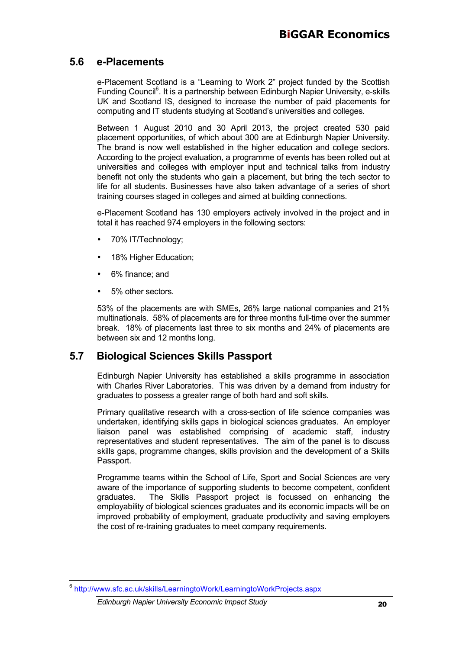### **5.6 e-Placements**

e-Placement Scotland is a "Learning to Work 2" project funded by the Scottish Funding Council<sup>6</sup>. It is a partnership between Edinburgh Napier University, e-skills UK and Scotland IS, designed to increase the number of paid placements for computing and IT students studying at Scotland's universities and colleges.

Between 1 August 2010 and 30 April 2013, the project created 530 paid placement opportunities, of which about 300 are at Edinburgh Napier University. The brand is now well established in the higher education and college sectors. According to the project evaluation, a programme of events has been rolled out at universities and colleges with employer input and technical talks from industry benefit not only the students who gain a placement, but bring the tech sector to life for all students. Businesses have also taken advantage of a series of short training courses staged in colleges and aimed at building connections.

e-Placement Scotland has 130 employers actively involved in the project and in total it has reached 974 employers in the following sectors:

- 70% IT/Technology;
- 18% Higher Education;
- 6% finance; and
- 5% other sectors.

53% of the placements are with SMEs, 26% large national companies and 21% multinationals. 58% of placements are for three months full-time over the summer break. 18% of placements last three to six months and 24% of placements are between six and 12 months long.

### **5.7 Biological Sciences Skills Passport**

Edinburgh Napier University has established a skills programme in association with Charles River Laboratories. This was driven by a demand from industry for graduates to possess a greater range of both hard and soft skills.

Primary qualitative research with a cross-section of life science companies was undertaken, identifying skills gaps in biological sciences graduates. An employer liaison panel was established comprising of academic staff, industry representatives and student representatives. The aim of the panel is to discuss skills gaps, programme changes, skills provision and the development of a Skills Passport.

Programme teams within the School of Life, Sport and Social Sciences are very aware of the importance of supporting students to become competent, confident graduates. The Skills Passport project is focussed on enhancing the employability of biological sciences graduates and its economic impacts will be on improved probability of employment, graduate productivity and saving employers the cost of re-training graduates to meet company requirements.

<sup>6</sup> http://www.sfc.ac.uk/skills/LearningtoWork/LearningtoWorkProjects.aspx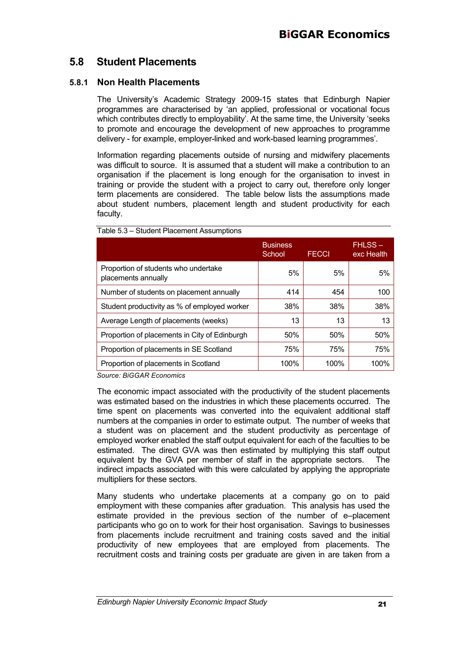## **5.8 Student Placements**

#### **5.8.1 Non Health Placements**

The University's Academic Strategy 2009-15 states that Edinburgh Napier programmes are characterised by 'an applied, professional or vocational focus which contributes directly to employability'. At the same time, the University 'seeks to promote and encourage the development of new approaches to programme delivery - for example, employer-linked and work-based learning programmes'.

Information regarding placements outside of nursing and midwifery placements was difficult to source. It is assumed that a student will make a contribution to an organisation if the placement is long enough for the organisation to invest in training or provide the student with a project to carry out, therefore only longer term placements are considered. The table below lists the assumptions made about student numbers, placement length and student productivity for each faculty.

|                                                             | <b>Business</b><br>School | <b>FECCI</b> | <b>FHLSS-</b><br>exc Health |
|-------------------------------------------------------------|---------------------------|--------------|-----------------------------|
| Proportion of students who undertake<br>placements annually | 5%                        | 5%           | 5%                          |
| Number of students on placement annually                    | 414                       | 454          | 100                         |
| Student productivity as % of employed worker                | 38%                       | 38%          | 38%                         |
| Average Length of placements (weeks)                        | 13                        | 13           | 13                          |
| Proportion of placements in City of Edinburgh               | 50%                       | 50%          | 50%                         |
| Proportion of placements in SE Scotland                     | 75%                       | 75%          | 75%                         |
| Proportion of placements in Scotland                        | 100%                      | 100%         | 100%                        |

Table 5.3 – Student Placement Assumptions

*Source: BiGGAR Economics*

The economic impact associated with the productivity of the student placements was estimated based on the industries in which these placements occurred. The time spent on placements was converted into the equivalent additional staff numbers at the companies in order to estimate output. The number of weeks that a student was on placement and the student productivity as percentage of employed worker enabled the staff output equivalent for each of the faculties to be estimated. The direct GVA was then estimated by multiplying this staff output equivalent by the GVA per member of staff in the appropriate sectors. The indirect impacts associated with this were calculated by applying the appropriate multipliers for these sectors.

Many students who undertake placements at a company go on to paid employment with these companies after graduation. This analysis has used the estimate provided in the previous section of the number of e–placement participants who go on to work for their host organisation. Savings to businesses from placements include recruitment and training costs saved and the initial productivity of new employees that are employed from placements. The recruitment costs and training costs per graduate are given in are taken from a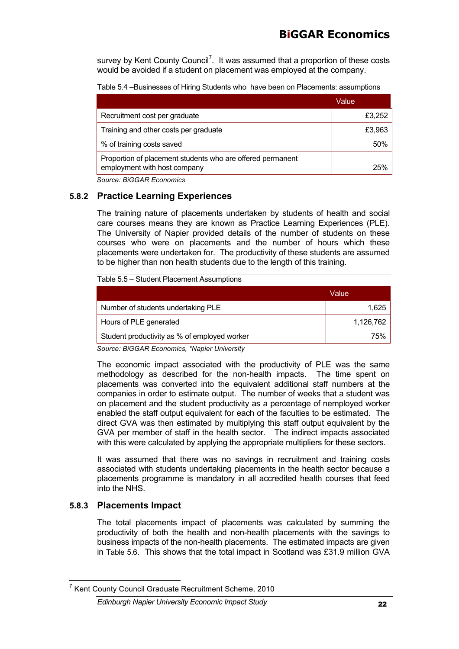survey by Kent County Council<sup>7</sup>. It was assumed that a proportion of these costs would be avoided if a student on placement was employed at the company.

| Table 5.4 - Businesses of Hiring Students who have been on Placements: assumptions         |        |  |
|--------------------------------------------------------------------------------------------|--------|--|
|                                                                                            | Value  |  |
| Recruitment cost per graduate                                                              | £3,252 |  |
| Training and other costs per graduate                                                      | £3,963 |  |
| % of training costs saved                                                                  | 50%    |  |
| Proportion of placement students who are offered permanent<br>employment with host company | 25%    |  |

*Source: BiGGAR Economics*

#### **5.8.2 Practice Learning Experiences**

The training nature of placements undertaken by students of health and social care courses means they are known as Practice Learning Experiences (PLE). The University of Napier provided details of the number of students on these courses who were on placements and the number of hours which these placements were undertaken for. The productivity of these students are assumed to be higher than non health students due to the length of this training.

| Table 5.5 – Student Placement Assumptions    |           |  |  |
|----------------------------------------------|-----------|--|--|
|                                              | Value     |  |  |
| Number of students undertaking PLE           | 1,625     |  |  |
| Hours of PLE generated                       | 1,126,762 |  |  |
| Student productivity as % of employed worker | 75%       |  |  |

*Source: BiGGAR Economics, \*Napier University*

The economic impact associated with the productivity of PLE was the same methodology as described for the non-health impacts. The time spent on placements was converted into the equivalent additional staff numbers at the companies in order to estimate output. The number of weeks that a student was on placement and the student productivity as a percentage of nemployed worker enabled the staff output equivalent for each of the faculties to be estimated. The direct GVA was then estimated by multiplying this staff output equivalent by the GVA per member of staff in the health sector. The indirect impacts associated with this were calculated by applying the appropriate multipliers for these sectors.

It was assumed that there was no savings in recruitment and training costs associated with students undertaking placements in the health sector because a placements programme is mandatory in all accredited health courses that feed into the NHS.

#### **5.8.3 Placements Impact**

The total placements impact of placements was calculated by summing the productivity of both the health and non-health placements with the savings to business impacts of the non-health placements. The estimated impacts are given in Table 5.6. This shows that the total impact in Scotland was £31.9 million GVA

<sup>7</sup> Kent County Council Graduate Recruitment Scheme, 2010

*Edinburgh Napier University Economic Impact Study* 22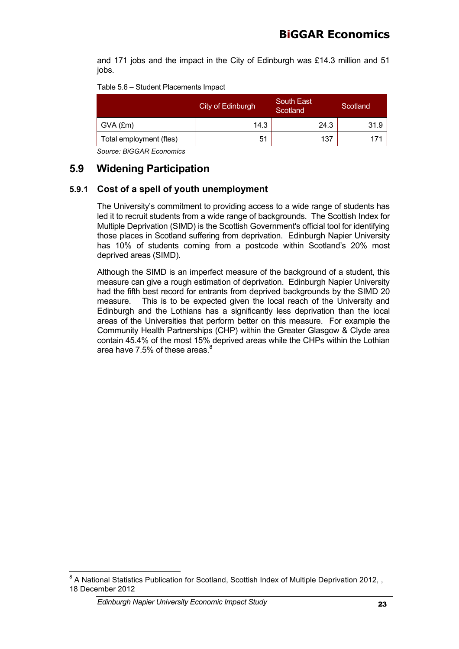and 171 jobs and the impact in the City of Edinburgh was £14.3 million and 51 jobs.

| Table 5.6 - Student Placements Impact |  |
|---------------------------------------|--|
|---------------------------------------|--|

|                         | City of Edinburgh | <b>South East</b><br>Scotland | Scotland |
|-------------------------|-------------------|-------------------------------|----------|
| $GVA$ (£m)              | 14.3              | 24.3                          | 31.9     |
| Total employment (ftes) | 51                | 137                           | 171      |

*Source: BiGGAR Economics*

## **5.9 Widening Participation**

#### **5.9.1 Cost of a spell of youth unemployment**

The University's commitment to providing access to a wide range of students has led it to recruit students from a wide range of backgrounds. The Scottish Index for Multiple Deprivation (SIMD) is the Scottish Government's official tool for identifying those places in Scotland suffering from deprivation. Edinburgh Napier University has 10% of students coming from a postcode within Scotland's 20% most deprived areas (SIMD).

Although the SIMD is an imperfect measure of the background of a student, this measure can give a rough estimation of deprivation. Edinburgh Napier University had the fifth best record for entrants from deprived backgrounds by the SIMD 20 measure. This is to be expected given the local reach of the University and Edinburgh and the Lothians has a significantly less deprivation than the local areas of the Universities that perform better on this measure. For example the Community Health Partnerships (CHP) within the Greater Glasgow & Clyde area contain 45.4% of the most 15% deprived areas while the CHPs within the Lothian area have 7.5% of these areas.<sup>8</sup>

*Edinburgh Napier University Economic Impact Study* 23

 $8$  A National Statistics Publication for Scotland, Scottish Index of Multiple Deprivation 2012, , 18 December 2012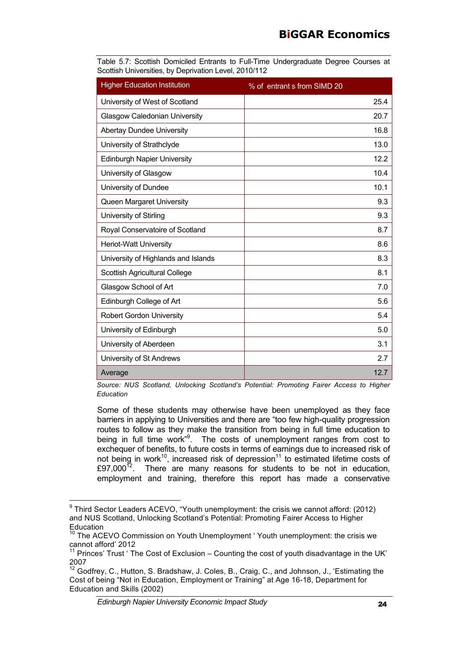|  |  |                                                       | Table 5.7: Scottish Domiciled Entrants to Full-Time Undergraduate Degree Courses at |  |  |
|--|--|-------------------------------------------------------|-------------------------------------------------------------------------------------|--|--|
|  |  | Scottish Universities, by Deprivation Level, 2010/112 |                                                                                     |  |  |

| <b>Higher Education Institution</b>  | % of entrant s from SIMD 20 |
|--------------------------------------|-----------------------------|
| University of West of Scotland       | 25.4                        |
| <b>Glasgow Caledonian University</b> | 20.7                        |
| <b>Abertay Dundee University</b>     | 16.8                        |
| University of Strathclyde            | 13.0                        |
| <b>Edinburgh Napier University</b>   | 12.2                        |
| University of Glasgow                | 10.4                        |
| University of Dundee                 | 10.1                        |
| Queen Margaret University            | 9.3                         |
| University of Stirling               | 9.3                         |
| Royal Conservatoire of Scotland      | 8.7                         |
| <b>Heriot-Watt University</b>        | 8.6                         |
| University of Highlands and Islands  | 8.3                         |
| Scottish Agricultural College        | 8.1                         |
| Glasgow School of Art                | 7.0                         |
| Edinburgh College of Art             | 5.6                         |
| <b>Robert Gordon University</b>      | 5.4                         |
| University of Edinburgh              | 5.0                         |
| University of Aberdeen               | 3.1                         |
| University of St Andrews             | 2.7                         |
| Average                              | 12.7                        |

*Source: NUS Scotland, Unlocking Scotland's Potential: Promoting Fairer Access to Higher Education*

Some of these students may otherwise have been unemployed as they face barriers in applying to Universities and there are "too few high-quality progression routes to follow as they make the transition from being in full time education to being in full time work<sup>"9</sup>. The costs of unemployment ranges from cost to exchequer of benefits, to future costs in terms of earnings due to increased risk of not being in work<sup>10</sup>, increased risk of depression<sup>11</sup> to estimated lifetime costs of £97,000 $^{12}$ . There are many reasons for students to be not in education, employment and training, therefore this report has made a conservative

<sup>&</sup>lt;sup>9</sup> Third Sector Leaders ACEVO, "Youth unemployment: the crisis we cannot afford: (2012) and NUS Scotland, Unlocking Scotland's Potential: Promoting Fairer Access to Higher Education

<sup>&</sup>lt;sup>10</sup> The ACEVO Commission on Youth Unemployment 'Youth unemployment: the crisis we cannot afford' 2012

 $11$  Princes' Trust ' The Cost of Exclusion – Counting the cost of youth disadvantage in the UK' 2007

<sup>12</sup> Godfrey, C., Hutton, S. Bradshaw, J. Coles, B., Craig, C., and Johnson, J., 'Estimating the Cost of being "Not in Education, Employment or Training" at Age 16-18, Department for Education and Skills (2002)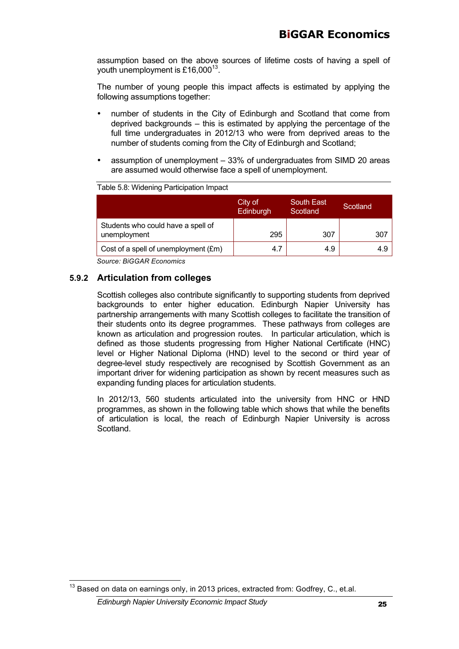assumption based on the above sources of lifetime costs of having a spell of vouth unemployment is £16,000 $^{13}$ .

The number of young people this impact affects is estimated by applying the following assumptions together:

- number of students in the City of Edinburgh and Scotland that come from deprived backgrounds – this is estimated by applying the percentage of the full time undergraduates in 2012/13 who were from deprived areas to the number of students coming from the City of Edinburgh and Scotland;
- assumption of unemployment 33% of undergraduates from SIMD 20 areas are assumed would otherwise face a spell of unemployment.

| Table 5.8: Widening Participation Impact           |                             |                               |          |
|----------------------------------------------------|-----------------------------|-------------------------------|----------|
|                                                    | City of<br><b>Edinburgh</b> | <b>South East</b><br>Scotland | Scotland |
| Students who could have a spell of<br>unemployment | 295                         | 307                           | 307      |
| Cost of a spell of unemployment (£m)               | 4.7                         | 4.9                           | 4.9      |

*Source: BiGGAR Economics*

#### **5.9.2 Articulation from colleges**

Scottish colleges also contribute significantly to supporting students from deprived backgrounds to enter higher education. Edinburgh Napier University has partnership arrangements with many Scottish colleges to facilitate the transition of their students onto its degree programmes. These pathways from colleges are known as articulation and progression routes. In particular articulation, which is defined as those students progressing from Higher National Certificate (HNC) level or Higher National Diploma (HND) level to the second or third year of degree-level study respectively are recognised by Scottish Government as an important driver for widening participation as shown by recent measures such as expanding funding places for articulation students.

In 2012/13, 560 students articulated into the university from HNC or HND programmes, as shown in the following table which shows that while the benefits of articulation is local, the reach of Edinburgh Napier University is across Scotland.

<sup>&</sup>lt;sup>13</sup> Based on data on earnings only, in 2013 prices, extracted from: Godfrey, C., et.al.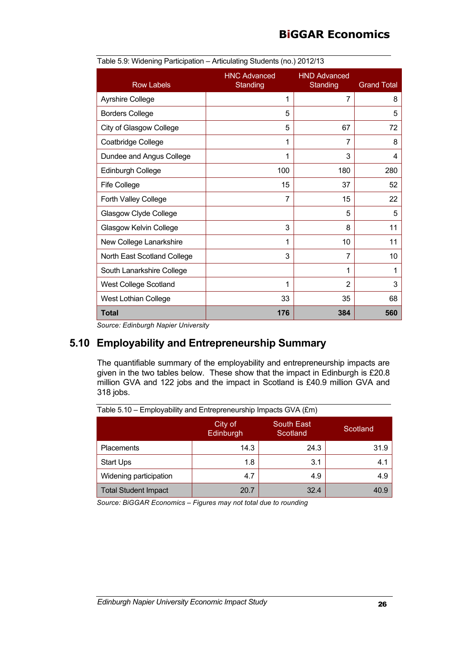|                               | $1$ ablo 0.0. This might annopation $\rightarrow$ successing oterability (no.) Long to |                                 |                    |  |
|-------------------------------|----------------------------------------------------------------------------------------|---------------------------------|--------------------|--|
| <b>Row Labels</b>             | <b>HNC Advanced</b><br>Standing                                                        | <b>HND Advanced</b><br>Standing | <b>Grand Total</b> |  |
| <b>Ayrshire College</b>       | 1                                                                                      | 7                               | 8                  |  |
| <b>Borders College</b>        | 5                                                                                      |                                 | 5                  |  |
| City of Glasgow College       | 5                                                                                      | 67                              | 72                 |  |
| Coatbridge College            | 1                                                                                      | 7                               | 8                  |  |
| Dundee and Angus College      | 1                                                                                      | 3                               | 4                  |  |
| Edinburgh College             | 100                                                                                    | 180                             | 280                |  |
| <b>Fife College</b>           | 15                                                                                     | 37                              | 52                 |  |
| Forth Valley College          | $\overline{7}$                                                                         | 15                              | 22                 |  |
| Glasgow Clyde College         |                                                                                        | 5                               | 5                  |  |
| <b>Glasgow Kelvin College</b> | 3                                                                                      | 8                               | 11                 |  |
| New College Lanarkshire       | 1                                                                                      | 10                              | 11                 |  |
| North East Scotland College   | 3                                                                                      | 7                               | 10                 |  |
| South Lanarkshire College     |                                                                                        | 1                               | 1                  |  |
| <b>West College Scotland</b>  | 1                                                                                      | $\overline{2}$                  | 3                  |  |
| <b>West Lothian College</b>   | 33                                                                                     | 35                              | 68                 |  |
| Total<br>$\cdot$ $\cdot$      | 176                                                                                    | 384                             | 560                |  |

Table 5.9: Widening Participation – Articulating Students (no.) 2012/13

*Source: Edinburgh Napier University*

### **5.10 Employability and Entrepreneurship Summary**

The quantifiable summary of the employability and entrepreneurship impacts are given in the two tables below. These show that the impact in Edinburgh is £20.8 million GVA and 122 jobs and the impact in Scotland is £40.9 million GVA and 318 jobs.

| Table 5. TO - Employability and Entrepreneurship impacts GVA (£m) |                             |                        |          |  |
|-------------------------------------------------------------------|-----------------------------|------------------------|----------|--|
|                                                                   | City of<br><b>Edinburgh</b> | South East<br>Scotland | Scotland |  |
| <b>Placements</b>                                                 | 14.3                        | 24.3                   | 31.9     |  |
| <b>Start Ups</b>                                                  | 1.8                         | 3.1                    | 4.1      |  |
| Widening participation                                            | 4.7                         | 4.9                    | 4.9      |  |
| <b>Total Student Impact</b>                                       | 20.7                        | 32.4                   | 40.9     |  |

 $\frac{1}{\pi}$ Table 5.10 – Employability and Entrepreneurship Impacts GVA (fm)

*Source: BiGGAR Economics – Figures may not total due to rounding*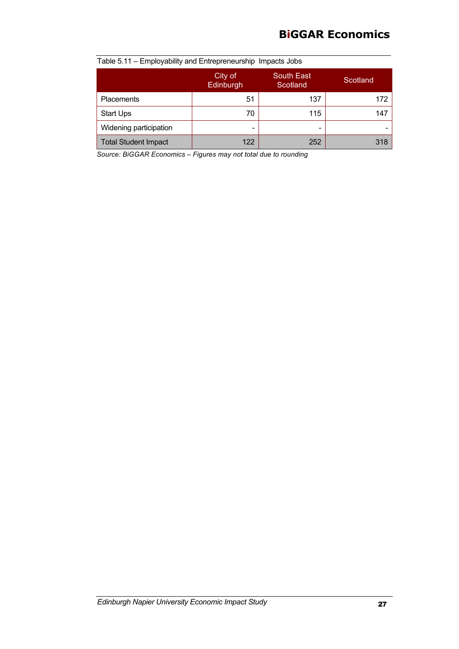## **BiGGAR Economics**

| l able 5.11 – Employability and Entrepreneurship Impacts Jobs |                          |                               |          |  |  |
|---------------------------------------------------------------|--------------------------|-------------------------------|----------|--|--|
|                                                               | City of<br>Edinburgh     | <b>South East</b><br>Scotland | Scotland |  |  |
| <b>Placements</b>                                             | 51                       | 137                           | 172      |  |  |
| <b>Start Ups</b>                                              | 70                       | 115                           | 147      |  |  |
| Widening participation                                        | $\overline{\phantom{0}}$ | -                             |          |  |  |
| <b>Total Student Impact</b>                                   | 122                      | 252                           | 318      |  |  |

Table 5.11 – Employability and Entrepreneurship Impacts Jobs

*Source: BiGGAR Economics – Figures may not total due to rounding*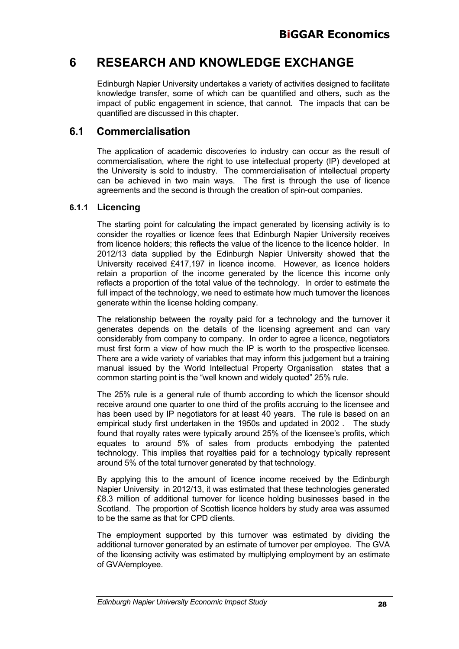## **6 RESEARCH AND KNOWLEDGE EXCHANGE**

Edinburgh Napier University undertakes a variety of activities designed to facilitate knowledge transfer, some of which can be quantified and others, such as the impact of public engagement in science, that cannot. The impacts that can be quantified are discussed in this chapter.

### **6.1 Commercialisation**

The application of academic discoveries to industry can occur as the result of commercialisation, where the right to use intellectual property (IP) developed at the University is sold to industry. The commercialisation of intellectual property can be achieved in two main ways. The first is through the use of licence agreements and the second is through the creation of spin-out companies.

#### **6.1.1 Licencing**

The starting point for calculating the impact generated by licensing activity is to consider the royalties or licence fees that Edinburgh Napier University receives from licence holders; this reflects the value of the licence to the licence holder. In 2012/13 data supplied by the Edinburgh Napier University showed that the University received £417,197 in licence income. However, as licence holders retain a proportion of the income generated by the licence this income only reflects a proportion of the total value of the technology. In order to estimate the full impact of the technology, we need to estimate how much turnover the licences generate within the license holding company.

The relationship between the royalty paid for a technology and the turnover it generates depends on the details of the licensing agreement and can vary considerably from company to company. In order to agree a licence, negotiators must first form a view of how much the IP is worth to the prospective licensee. There are a wide variety of variables that may inform this judgement but a training manual issued by the World Intellectual Property Organisation states that a common starting point is the "well known and widely quoted" 25% rule.

The 25% rule is a general rule of thumb according to which the licensor should receive around one quarter to one third of the profits accruing to the licensee and has been used by IP negotiators for at least 40 years. The rule is based on an empirical study first undertaken in the 1950s and updated in 2002 . The study found that royalty rates were typically around 25% of the licensee's profits, which equates to around 5% of sales from products embodying the patented technology. This implies that royalties paid for a technology typically represent around 5% of the total turnover generated by that technology.

By applying this to the amount of licence income received by the Edinburgh Napier University in 2012/13, it was estimated that these technologies generated £8.3 million of additional turnover for licence holding businesses based in the Scotland. The proportion of Scottish licence holders by study area was assumed to be the same as that for CPD clients.

The employment supported by this turnover was estimated by dividing the additional turnover generated by an estimate of turnover per employee. The GVA of the licensing activity was estimated by multiplying employment by an estimate of GVA/employee.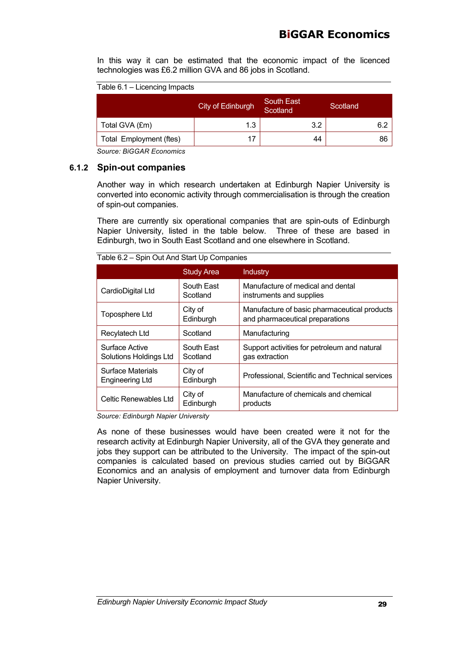In this way it can be estimated that the economic impact of the licenced technologies was £6.2 million GVA and 86 jobs in Scotland.

Table 6.1 – Licencing Impacts

|                         | City of Edinburgh | South East<br>Scotland | Scotland |
|-------------------------|-------------------|------------------------|----------|
| Total GVA (£m)          | 1.3               | 3.2                    | 6.2      |
| Total Employment (ftes) | 17                | 44                     | 86       |

*Source: BiGGAR Economics*

#### **6.1.2 Spin-out companies**

Another way in which research undertaken at Edinburgh Napier University is converted into economic activity through commercialisation is through the creation of spin-out companies.

There are currently six operational companies that are spin-outs of Edinburgh Napier University, listed in the table below. Three of these are based in Edinburgh, two in South East Scotland and one elsewhere in Scotland.

|                                             | <b>Study Area</b>      | <b>Industry</b>                                                                 |  |  |
|---------------------------------------------|------------------------|---------------------------------------------------------------------------------|--|--|
| CardioDigital Ltd                           | South East<br>Scotland | Manufacture of medical and dental<br>instruments and supplies                   |  |  |
| Toposphere Ltd                              | City of<br>Edinburgh   | Manufacture of basic pharmaceutical products<br>and pharmaceutical preparations |  |  |
| Recylatech Ltd                              | Scotland               | Manufacturing                                                                   |  |  |
| Surface Active<br>Solutions Holdings Ltd    | South East<br>Scotland | Support activities for petroleum and natural<br>gas extraction                  |  |  |
| <b>Surface Materials</b><br>Engineering Ltd | City of<br>Edinburgh   | Professional, Scientific and Technical services                                 |  |  |
| Celtic Renewables Ltd                       | City of<br>Edinburgh   | Manufacture of chemicals and chemical<br>products                               |  |  |

Table 6.2 – Spin Out And Start Up Companies

*Source: Edinburgh Napier University*

As none of these businesses would have been created were it not for the research activity at Edinburgh Napier University, all of the GVA they generate and jobs they support can be attributed to the University. The impact of the spin-out companies is calculated based on previous studies carried out by BiGGAR Economics and an analysis of employment and turnover data from Edinburgh Napier University.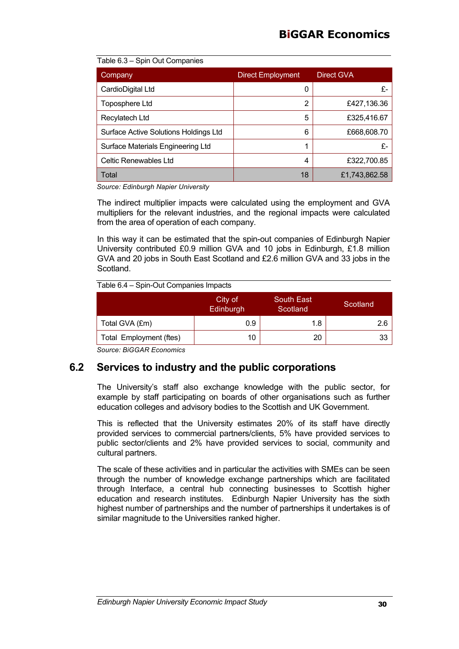#### Table 6.3 – Spin Out Companies

| Company                               | <b>Direct Employment</b> | Direct GVA    |
|---------------------------------------|--------------------------|---------------|
| CardioDigital Ltd                     | 0                        | £-            |
| Toposphere Ltd                        | 2                        | £427,136.36   |
| Recylatech Ltd                        | 5                        | £325,416.67   |
| Surface Active Solutions Holdings Ltd | 6                        | £668,608.70   |
| Surface Materials Engineering Ltd     |                          | £-            |
| Celtic Renewables Ltd                 | 4                        | £322,700.85   |
| Total                                 | 18                       | £1,743,862.58 |

*Source: Edinburgh Napier University*

The indirect multiplier impacts were calculated using the employment and GVA multipliers for the relevant industries, and the regional impacts were calculated from the area of operation of each company.

In this way it can be estimated that the spin-out companies of Edinburgh Napier University contributed £0.9 million GVA and 10 jobs in Edinburgh, £1.8 million GVA and 20 jobs in South East Scotland and £2.6 million GVA and 33 jobs in the Scotland.

Table 6.4 – Spin-Out Companies Impacts

|                         | City of<br>Edinburgh | South East<br>Scotland | Scotland |
|-------------------------|----------------------|------------------------|----------|
| Total GVA (£m)          | 0.9                  | 1.8                    |          |
| Total Employment (ftes) | 10                   | 20                     | 33       |
|                         |                      |                        |          |

*Source: BiGGAR Economics*

## **6.2 Services to industry and the public corporations**

The University's staff also exchange knowledge with the public sector, for example by staff participating on boards of other organisations such as further education colleges and advisory bodies to the Scottish and UK Government.

This is reflected that the University estimates 20% of its staff have directly provided services to commercial partners/clients, 5% have provided services to public sector/clients and 2% have provided services to social, community and cultural partners.

The scale of these activities and in particular the activities with SMEs can be seen through the number of knowledge exchange partnerships which are facilitated through Interface, a central hub connecting businesses to Scottish higher education and research institutes. Edinburgh Napier University has the sixth highest number of partnerships and the number of partnerships it undertakes is of similar magnitude to the Universities ranked higher.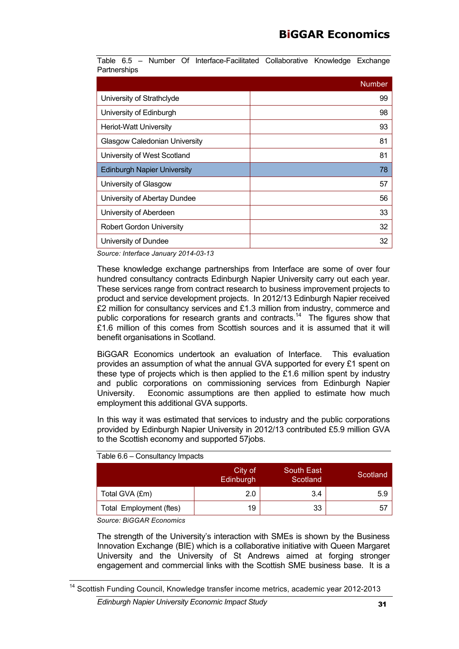Table 6.5 – Number Of Interface-Facilitated Collaborative Knowledge Exchange **Partnerships** 

|                                      | <b>Number</b> |
|--------------------------------------|---------------|
| University of Strathclyde            | 99            |
| University of Edinburgh              | 98            |
| <b>Heriot-Watt University</b>        | 93            |
| <b>Glasgow Caledonian University</b> | 81            |
| University of West Scotland          | 81            |
| <b>Edinburgh Napier University</b>   | 78            |
| University of Glasgow                | 57            |
| University of Abertay Dundee         | 56            |
| University of Aberdeen               | 33            |
| <b>Robert Gordon University</b>      | 32            |
| University of Dundee                 | 32            |

*Source: Interface January 2014-03-13*

These knowledge exchange partnerships from Interface are some of over four hundred consultancy contracts Edinburgh Napier University carry out each year. These services range from contract research to business improvement projects to product and service development projects. In 2012/13 Edinburgh Napier received £2 million for consultancy services and £1.3 million from industry, commerce and public corporations for research grants and contracts.<sup>14</sup> The figures show that £1.6 million of this comes from Scottish sources and it is assumed that it will benefit organisations in Scotland.

BiGGAR Economics undertook an evaluation of Interface. This evaluation provides an assumption of what the annual GVA supported for every £1 spent on these type of projects which is then applied to the  $£1.6$  million spent by industry and public corporations on commissioning services from Edinburgh Napier University. Economic assumptions are then applied to estimate how much employment this additional GVA supports.

In this way it was estimated that services to industry and the public corporations provided by Edinburgh Napier University in 2012/13 contributed £5.9 million GVA to the Scottish economy and supported 57jobs.

| $1$ able $0.0 -$ Consultation impacts |                             |                        |          |
|---------------------------------------|-----------------------------|------------------------|----------|
|                                       | City of<br><b>Edinburgh</b> | South East<br>Scotland | Scotland |
| Total GVA (£m)                        | 2.0                         | 3.4                    | 5.9      |
| Total Employment (ftes)               | 19                          | 33                     | 57       |

Table 6.6 – Consultancy Impacts

*Source: BiGGAR Economics*

The strength of the University's interaction with SMEs is shown by the Business Innovation Exchange (BIE) which is a collaborative initiative with Queen Margaret University and the University of St Andrews aimed at forging stronger engagement and commercial links with the Scottish SME business base. It is a

<sup>&</sup>lt;sup>14</sup> Scottish Funding Council, Knowledge transfer income metrics, academic year 2012-2013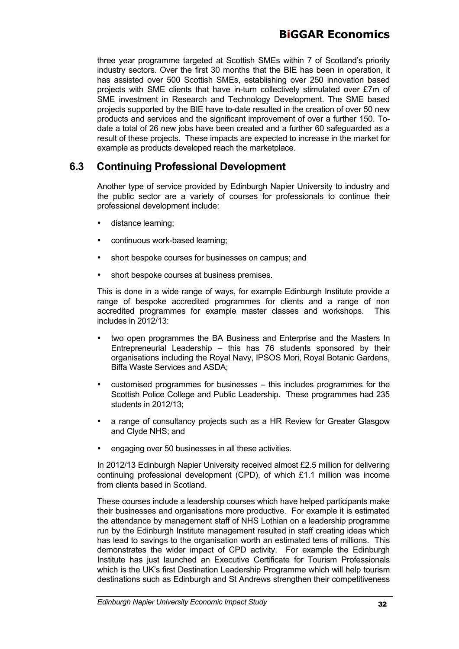three year programme targeted at Scottish SMEs within 7 of Scotland's priority industry sectors. Over the first 30 months that the BIE has been in operation, it has assisted over 500 Scottish SMEs, establishing over 250 innovation based projects with SME clients that have in-turn collectively stimulated over £7m of SME investment in Research and Technology Development. The SME based projects supported by the BIE have to-date resulted in the creation of over 50 new products and services and the significant improvement of over a further 150. Todate a total of 26 new jobs have been created and a further 60 safeguarded as a result of these projects. These impacts are expected to increase in the market for example as products developed reach the marketplace.

## **6.3 Continuing Professional Development**

Another type of service provided by Edinburgh Napier University to industry and the public sector are a variety of courses for professionals to continue their professional development include:

- distance learning;
- continuous work-based learning;
- short bespoke courses for businesses on campus; and
- short bespoke courses at business premises.

This is done in a wide range of ways, for example Edinburgh Institute provide a range of bespoke accredited programmes for clients and a range of non accredited programmes for example master classes and workshops. This includes in 2012/13:

- two open programmes the BA Business and Enterprise and the Masters In Entrepreneurial Leadership – this has 76 students sponsored by their organisations including the Royal Navy, IPSOS Mori, Royal Botanic Gardens, Biffa Waste Services and ASDA;
- customised programmes for businesses this includes programmes for the Scottish Police College and Public Leadership. These programmes had 235 students in 2012/13;
- a range of consultancy projects such as a HR Review for Greater Glasgow and Clyde NHS; and
- engaging over 50 businesses in all these activities.

In 2012/13 Edinburgh Napier University received almost £2.5 million for delivering continuing professional development (CPD), of which £1.1 million was income from clients based in Scotland.

These courses include a leadership courses which have helped participants make their businesses and organisations more productive. For example it is estimated the attendance by management staff of NHS Lothian on a leadership programme run by the Edinburgh Institute management resulted in staff creating ideas which has lead to savings to the organisation worth an estimated tens of millions. This demonstrates the wider impact of CPD activity. For example the Edinburgh Institute has just launched an Executive Certificate for Tourism Professionals which is the UK's first Destination Leadership Programme which will help tourism destinations such as Edinburgh and St Andrews strengthen their competitiveness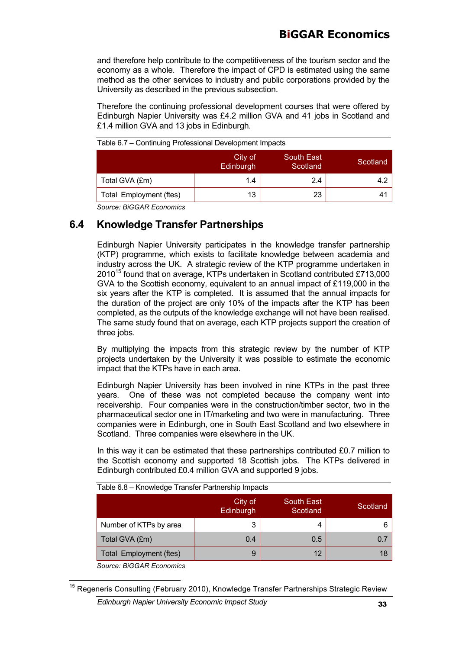and therefore help contribute to the competitiveness of the tourism sector and the economy as a whole. Therefore the impact of CPD is estimated using the same method as the other services to industry and public corporations provided by the University as described in the previous subsection.

Therefore the continuing professional development courses that were offered by Edinburgh Napier University was £4.2 million GVA and 41 jobs in Scotland and £1.4 million GVA and 13 jobs in Edinburgh.

|                         | City of<br>Edinburgh | <b>South East</b><br>Scotland | Scotland |
|-------------------------|----------------------|-------------------------------|----------|
| Total GVA (£m)          | 1.4                  | 2.4                           |          |
| Total Employment (ftes) | 13                   | 23                            | 4.       |
| $\sim$                  |                      |                               |          |

Table 6.7 – Continuing Professional Development Impacts

*Source: BiGGAR Economics*

## **6.4 Knowledge Transfer Partnerships**

Edinburgh Napier University participates in the knowledge transfer partnership (KTP) programme, which exists to facilitate knowledge between academia and industry across the UK. A strategic review of the KTP programme undertaken in 201015 found that on average, KTPs undertaken in Scotland contributed £713,000 GVA to the Scottish economy, equivalent to an annual impact of £119,000 in the six years after the KTP is completed. It is assumed that the annual impacts for the duration of the project are only 10% of the impacts after the KTP has been completed, as the outputs of the knowledge exchange will not have been realised. The same study found that on average, each KTP projects support the creation of three jobs.

By multiplying the impacts from this strategic review by the number of KTP projects undertaken by the University it was possible to estimate the economic impact that the KTPs have in each area.

Edinburgh Napier University has been involved in nine KTPs in the past three years. One of these was not completed because the company went into receivership. Four companies were in the construction/timber sector, two in the pharmaceutical sector one in IT/marketing and two were in manufacturing. Three companies were in Edinburgh, one in South East Scotland and two elsewhere in Scotland. Three companies were elsewhere in the UK.

In this way it can be estimated that these partnerships contributed £0.7 million to the Scottish economy and supported 18 Scottish jobs. The KTPs delivered in Edinburgh contributed £0.4 million GVA and supported 9 jobs.

| Table 6.8 - Knowledge Transfer Partnership Impacts         |     |     |     |  |  |
|------------------------------------------------------------|-----|-----|-----|--|--|
| City of<br>South East<br>Scotland<br>Edinburgh<br>Scotland |     |     |     |  |  |
| Number of KTPs by area                                     | 3   | 4   |     |  |  |
| Total GVA (£m)                                             | 0.4 | 0.5 | 0.7 |  |  |
| Total Employment (ftes)                                    | 9   | 12  | 18  |  |  |
| Course DICCAD Essenting                                    |     |     |     |  |  |

*Source: BiGGAR Economics*

<sup>&</sup>lt;sup>15</sup> Regeneris Consulting (February 2010), Knowledge Transfer Partnerships Strategic Review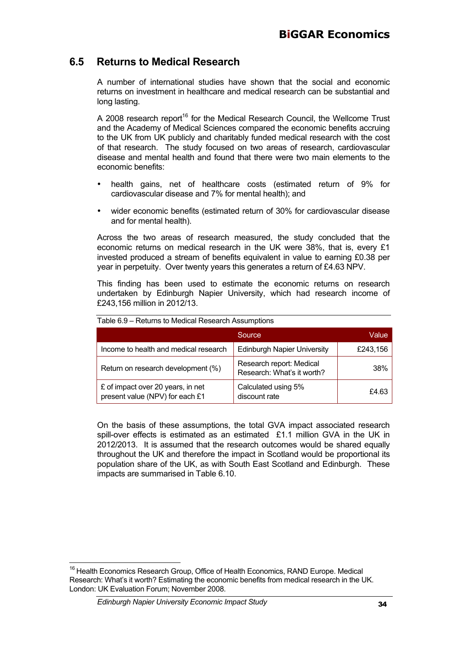## **6.5 Returns to Medical Research**

A number of international studies have shown that the social and economic returns on investment in healthcare and medical research can be substantial and long lasting.

A 2008 research report<sup>16</sup> for the Medical Research Council, the Wellcome Trust and the Academy of Medical Sciences compared the economic benefits accruing to the UK from UK publicly and charitably funded medical research with the cost of that research. The study focused on two areas of research, cardiovascular disease and mental health and found that there were two main elements to the economic benefits:

- health gains, net of healthcare costs (estimated return of 9% for cardiovascular disease and 7% for mental health); and
- wider economic benefits (estimated return of 30% for cardiovascular disease and for mental health).

Across the two areas of research measured, the study concluded that the economic returns on medical research in the UK were 38%, that is, every £1 invested produced a stream of benefits equivalent in value to earning £0.38 per year in perpetuity. Over twenty years this generates a return of £4.63 NPV.

This finding has been used to estimate the economic returns on research undertaken by Edinburgh Napier University, which had research income of £243,156 million in 2012/13.

|                                                                      | Source                                                 | Value    |
|----------------------------------------------------------------------|--------------------------------------------------------|----------|
| Income to health and medical research                                | <b>Edinburgh Napier University</b>                     | £243,156 |
| Return on research development (%)                                   | Research report: Medical<br>Research: What's it worth? | 38%      |
| £ of impact over 20 years, in net<br>present value (NPV) for each £1 | Calculated using 5%<br>discount rate                   | £4.63    |

Table 6.9 – Returns to Medical Research Assumptions

On the basis of these assumptions, the total GVA impact associated research spill-over effects is estimated as an estimated  $£1.1$  million GVA in the UK in 2012/2013. It is assumed that the research outcomes would be shared equally throughout the UK and therefore the impact in Scotland would be proportional its population share of the UK, as with South East Scotland and Edinburgh. These impacts are summarised in Table 6.10.

<sup>&</sup>lt;sup>16</sup> Health Economics Research Group, Office of Health Economics, RAND Europe. Medical Research: What's it worth? Estimating the economic benefits from medical research in the UK. London: UK Evaluation Forum; November 2008.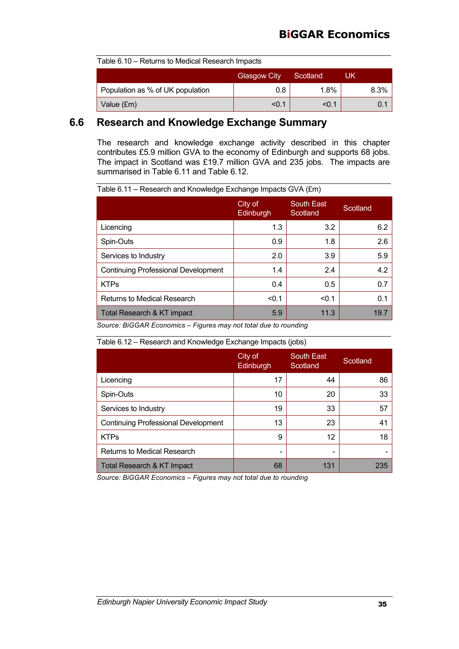| Table 6.10 – Returns to Medical Research Impacts |       |       |      |  |
|--------------------------------------------------|-------|-------|------|--|
| <b>Glasgow City</b><br>Scotland<br>UK            |       |       |      |  |
| Population as % of UK population                 | 0.8   | 1.8%  | 8.3% |  |
| Value (£m)                                       | < 0.1 | < 0.1 |      |  |

### **6.6 Research and Knowledge Exchange Summary**

The research and knowledge exchange activity described in this chapter contributes £5.9 million GVA to the economy of Edinburgh and supports 68 jobs. The impact in Scotland was £19.7 million GVA and 235 jobs. The impacts are summarised in Table 6.11 and Table 6.12.

Table 6.11 – Research and Knowledge Exchange Impacts GVA (£m)

| City of<br>Edinburgh | <b>South East</b><br>Scotland | Scotland |
|----------------------|-------------------------------|----------|
| 1.3                  | 3.2                           | 6.2      |
| 0.9                  | 1.8                           | 2.6      |
| 2.0                  | 3.9                           | 5.9      |
| 1.4                  | 2.4                           | 4.2      |
| 0.4                  | 0.5                           | 0.7      |
| < 0.1                | < 0.1                         | 0.1      |
| 5.9                  | 11.3                          | 19.7     |
|                      |                               |          |

*Source: BiGGAR Economics – Figures may not total due to rounding*

#### Table 6.12 – Research and Knowledge Exchange Impacts (jobs)

|                                            | City of<br>Edinburgh | <b>South East</b><br>Scotland | Scotland |
|--------------------------------------------|----------------------|-------------------------------|----------|
| Licencing                                  | 17                   | 44                            | 86       |
| Spin-Outs                                  | 10                   | 20                            | 33       |
| Services to Industry                       | 19                   | 33                            | 57       |
| <b>Continuing Professional Development</b> | 13                   | 23                            | 41       |
| <b>KTPs</b>                                | 9                    | 12                            | 18       |
| Returns to Medical Research                | -                    |                               |          |
| Total Research & KT Impact                 | 68                   | 131                           | 235      |

*Source: BiGGAR Economics – Figures may not total due to rounding*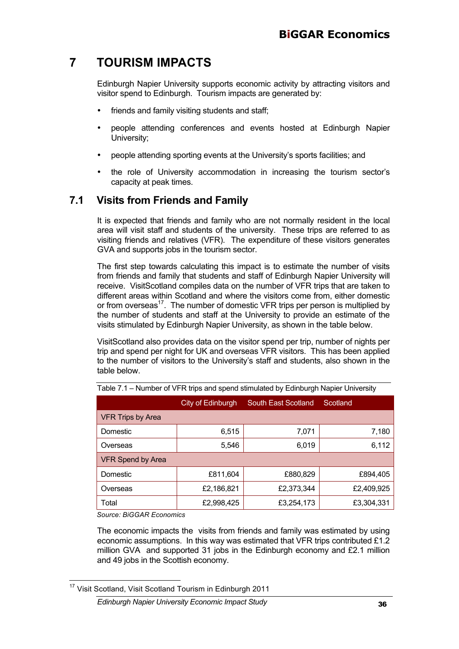## **7 TOURISM IMPACTS**

Edinburgh Napier University supports economic activity by attracting visitors and visitor spend to Edinburgh. Tourism impacts are generated by:

- friends and family visiting students and staff;
- people attending conferences and events hosted at Edinburgh Napier University;
- people attending sporting events at the University's sports facilities; and
- the role of University accommodation in increasing the tourism sector's capacity at peak times.

## **7.1 Visits from Friends and Family**

It is expected that friends and family who are not normally resident in the local area will visit staff and students of the university. These trips are referred to as visiting friends and relatives (VFR). The expenditure of these visitors generates GVA and supports jobs in the tourism sector.

The first step towards calculating this impact is to estimate the number of visits from friends and family that students and staff of Edinburgh Napier University will receive. VisitScotland compiles data on the number of VFR trips that are taken to different areas within Scotland and where the visitors come from, either domestic or from overseas<sup>17</sup>. The number of domestic VFR trips per person is multiplied by the number of students and staff at the University to provide an estimate of the visits stimulated by Edinburgh Napier University, as shown in the table below.

VisitScotland also provides data on the visitor spend per trip, number of nights per trip and spend per night for UK and overseas VFR visitors. This has been applied to the number of visitors to the University's staff and students, also shown in the table below.

|                   | City of Edinburgh | South East Scotland | Scotland   |
|-------------------|-------------------|---------------------|------------|
| VFR Trips by Area |                   |                     |            |
| Domestic          | 6,515             | 7,071               | 7,180      |
| Overseas          | 5,546             | 6,019               | 6,112      |
| VFR Spend by Area |                   |                     |            |
| Domestic          | £811,604          | £880,829            | £894,405   |
| Overseas          | £2,186,821        | £2,373,344          | £2,409,925 |
| Total             | £2,998,425        | £3,254,173          | £3,304,331 |

Table 7.1 – Number of VFR trips and spend stimulated by Edinburgh Napier University

*Source: BiGGAR Economics*

The economic impacts the visits from friends and family was estimated by using economic assumptions. In this way was estimated that VFR trips contributed £1.2 million GVA and supported 31 jobs in the Edinburgh economy and £2.1 million and 49 jobs in the Scottish economy.

<sup>17</sup> Visit Scotland, Visit Scotland Tourism in Edinburgh 2011

*Edinburgh Napier University Economic Impact Study* 36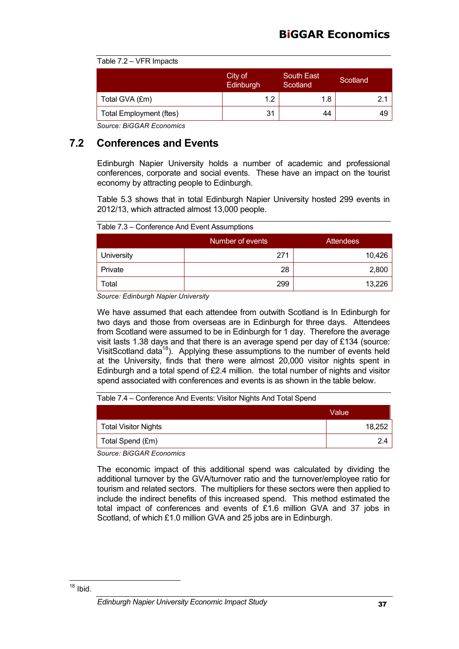|  | Table 7.2 – VFR Impacts |
|--|-------------------------|
|  |                         |

|                                | City of<br>Edinburgh | <b>South East</b><br>Scotland | Scotland |
|--------------------------------|----------------------|-------------------------------|----------|
| Total GVA (£m)                 | 1.2                  | 1.8                           |          |
| <b>Total Employment (ftes)</b> | 31                   | 44                            | 49       |

## **7.2 Conferences and Events**

Edinburgh Napier University holds a number of academic and professional conferences, corporate and social events. These have an impact on the tourist economy by attracting people to Edinburgh.

Table 5.3 shows that in total Edinburgh Napier University hosted 299 events in 2012/13, which attracted almost 13,000 people.

Table 7.3 – Conference And Event Assumptions

|            | Number of events | <b>Attendees</b> |
|------------|------------------|------------------|
| University | 271              | 10,426           |
| Private    | 28               | 2,800            |
| ⊺otal      | 299              | 13,226           |

*Source: Edinburgh Napier University*

We have assumed that each attendee from outwith Scotland is In Edinburgh for two days and those from overseas are in Edinburgh for three days. Attendees from Scotland were assumed to be in Edinburgh for 1 day. Therefore the average visit lasts 1.38 days and that there is an average spend per day of £134 (source: VisitScotland data<sup>18</sup>). Applying these assumptions to the number of events held at the University, finds that there were almost 20,000 visitor nights spent in Edinburgh and a total spend of £2.4 million. the total number of nights and visitor spend associated with conferences and events is as shown in the table below.

#### Table 7.4 – Conference And Events: Visitor Nights And Total Spend

|                             | Value  |
|-----------------------------|--------|
| <b>Total Visitor Nights</b> | 18,252 |
| Total Spend (£m)            |        |

*Source: BiGGAR Economics*

The economic impact of this additional spend was calculated by dividing the additional turnover by the GVA/turnover ratio and the turnover/employee ratio for tourism and related sectors. The multipliers for these sectors were then applied to include the indirect benefits of this increased spend. This method estimated the total impact of conferences and events of £1.6 million GVA and 37 jobs in Scotland, of which £1.0 million GVA and 25 jobs are in Edinburgh.

 $18$  Ibid.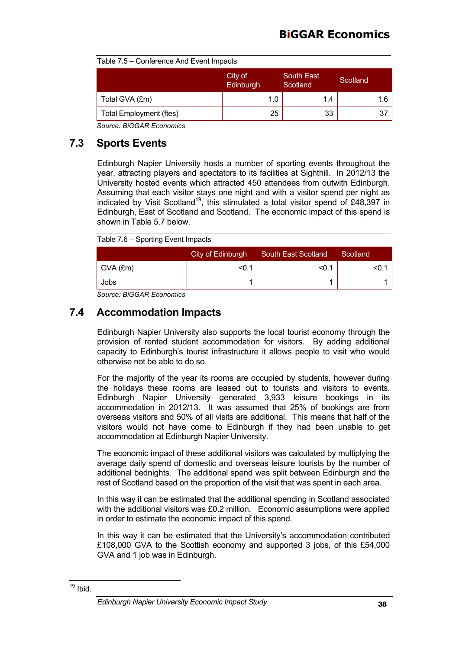| Table 7.5 - Conference And Event Impacts |
|------------------------------------------|
|                                          |

|                                | City of<br>Edinburgh | <b>South East</b><br>Scotland | Scotland |
|--------------------------------|----------------------|-------------------------------|----------|
| Total GVA (£m)                 | 1.0                  | 1.4                           |          |
| <b>Total Employment (ftes)</b> | 25                   | 33                            | 37       |

## **7.3 Sports Events**

Edinburgh Napier University hosts a number of sporting events throughout the year, attracting players and spectators to its facilities at Sighthill. In 2012/13 the University hosted events which attracted 450 attendees from outwith Edinburgh. Assuming that each visitor stays one night and with a visitor spend per night as indicated by Visit Scotland<sup>19</sup>, this stimulated a total visitor spend of £48,397 in Edinburgh, East of Scotland and Scotland. The economic impact of this spend is shown in Table 5.7 below.

Table 7.6 – Sporting Event Impacts

|            | City of Edinburgh | <b>South East Scotland</b> | Scotland |
|------------|-------------------|----------------------------|----------|
| $GVA$ (£m) | <0.1              | $<$ 0.1                    |          |
| Jobs       |                   |                            |          |

*Source: BiGGAR Economics*

## **7.4 Accommodation Impacts**

Edinburgh Napier University also supports the local tourist economy through the provision of rented student accommodation for visitors. By adding additional capacity to Edinburgh's tourist infrastructure it allows people to visit who would otherwise not be able to do so.

For the majority of the year its rooms are occupied by students, however during the holidays these rooms are leased out to tourists and visitors to events. Edinburgh Napier University generated 3,933 leisure bookings in its accommodation in 2012/13. It was assumed that 25% of bookings are from overseas visitors and 50% of all visits are additional. This means that half of the visitors would not have come to Edinburgh if they had been unable to get accommodation at Edinburgh Napier University.

The economic impact of these additional visitors was calculated by multiplying the average daily spend of domestic and overseas leisure tourists by the number of additional bednights. The additional spend was split between Edinburgh and the rest of Scotland based on the proportion of the visit that was spent in each area.

In this way it can be estimated that the additional spending in Scotland associated with the additional visitors was £0.2 million. Economic assumptions were applied in order to estimate the economic impact of this spend.

In this way it can be estimated that the University's accommodation contributed £108,000 GVA to the Scottish economy and supported 3 jobs, of this £54,000 GVA and 1 job was in Edinburgh.

 $19$  Ibid.

*Edinburgh Napier University Economic Impact Study* 38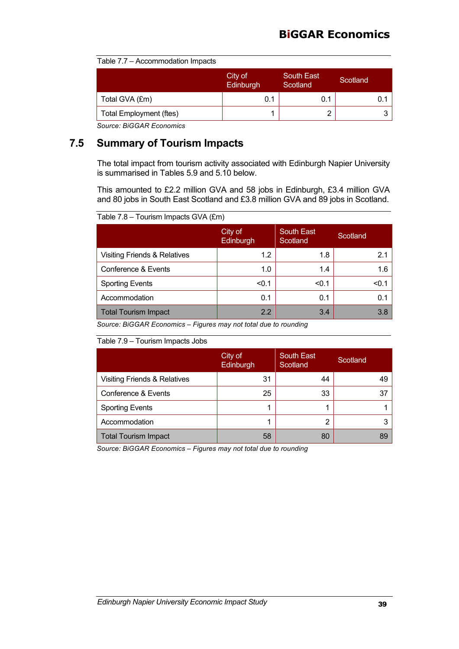| Table 7.7 - Accommodation Impacts |  |
|-----------------------------------|--|
|-----------------------------------|--|

|                                | City of<br>Edinburgh | <b>South East</b><br>Scotland | Scotland |
|--------------------------------|----------------------|-------------------------------|----------|
| Total GVA (£m)                 | 0.1                  | 0.1                           |          |
| <b>Total Employment (ftes)</b> |                      |                               |          |

## **7.5 Summary of Tourism Impacts**

The total impact from tourism activity associated with Edinburgh Napier University is summarised in Tables 5.9 and 5.10 below.

This amounted to £2.2 million GVA and 58 jobs in Edinburgh, £3.4 million GVA and 80 jobs in South East Scotland and £3.8 million GVA and 89 jobs in Scotland.

Table 7.8 – Tourism Impacts GVA (£m)

|                                         | City of<br>Edinburgh | <b>South East</b><br>Scotland | Scotland |
|-----------------------------------------|----------------------|-------------------------------|----------|
| <b>Visiting Friends &amp; Relatives</b> | 1.2                  | 1.8                           | 2.1      |
| Conference & Events                     | 1.0                  | 1.4                           | 1.6      |
| <b>Sporting Events</b>                  | < 0.1                | < 0.1                         | < 0.1    |
| Accommodation                           | 0.1                  | 0.1                           | 0.1      |
| <b>Total Tourism Impact</b>             | 2.2                  | 3.4                           | 3.8      |

*Source: BiGGAR Economics – Figures may not total due to rounding*

#### Table 7.9 – Tourism Impacts Jobs

|                                         | City of<br>Edinburgh | <b>South East</b><br>Scotland | Scotland |
|-----------------------------------------|----------------------|-------------------------------|----------|
| <b>Visiting Friends &amp; Relatives</b> | 31                   | 44                            | 49       |
| Conference & Events                     | 25                   | 33                            | 37       |
| <b>Sporting Events</b>                  |                      |                               |          |
| Accommodation                           |                      | 2                             |          |
| <b>Total Tourism Impact</b>             | 58                   | 80                            | 89       |

*Source: BiGGAR Economics – Figures may not total due to rounding*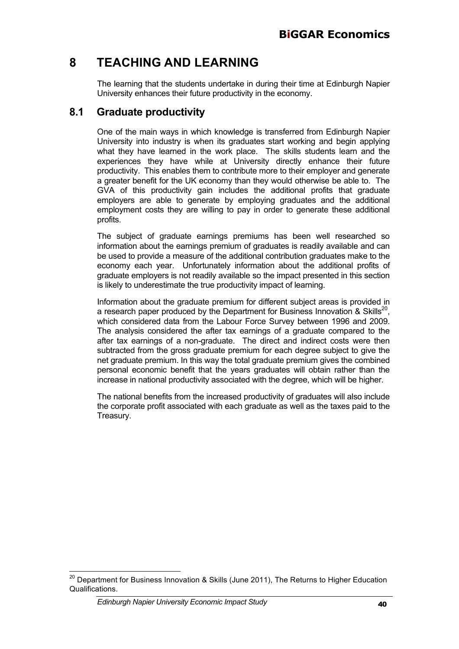## **8 TEACHING AND LEARNING**

The learning that the students undertake in during their time at Edinburgh Napier University enhances their future productivity in the economy.

## **8.1 Graduate productivity**

One of the main ways in which knowledge is transferred from Edinburgh Napier University into industry is when its graduates start working and begin applying what they have learned in the work place. The skills students learn and the experiences they have while at University directly enhance their future productivity. This enables them to contribute more to their employer and generate a greater benefit for the UK economy than they would otherwise be able to. The GVA of this productivity gain includes the additional profits that graduate employers are able to generate by employing graduates and the additional employment costs they are willing to pay in order to generate these additional profits.

The subject of graduate earnings premiums has been well researched so information about the earnings premium of graduates is readily available and can be used to provide a measure of the additional contribution graduates make to the economy each year. Unfortunately information about the additional profits of graduate employers is not readily available so the impact presented in this section is likely to underestimate the true productivity impact of learning.

Information about the graduate premium for different subject areas is provided in a research paper produced by the Department for Business Innovation & Skills<sup>20</sup>. which considered data from the Labour Force Survey between 1996 and 2009. The analysis considered the after tax earnings of a graduate compared to the after tax earnings of a non-graduate. The direct and indirect costs were then subtracted from the gross graduate premium for each degree subject to give the net graduate premium. In this way the total graduate premium gives the combined personal economic benefit that the years graduates will obtain rather than the increase in national productivity associated with the degree, which will be higher.

The national benefits from the increased productivity of graduates will also include the corporate profit associated with each graduate as well as the taxes paid to the Treasury.

 $20$  Department for Business Innovation & Skills (June 2011), The Returns to Higher Education Qualifications.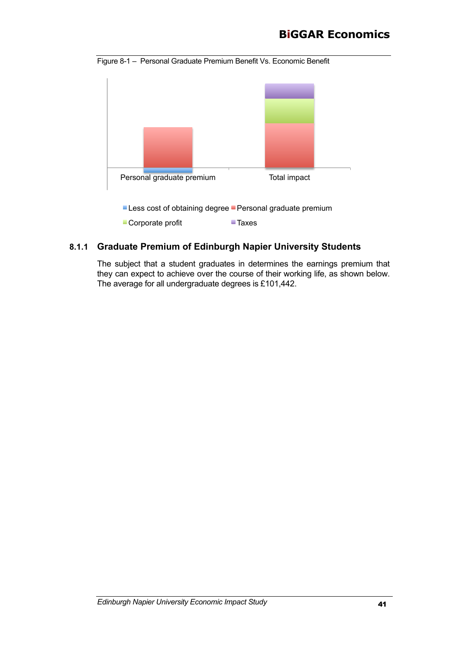## **BiGGAR Economics**

Figure 8-1 – Personal Graduate Premium Benefit Vs. Economic Benefit



### **8.1.1 Graduate Premium of Edinburgh Napier University Students**

The subject that a student graduates in determines the earnings premium that they can expect to achieve over the course of their working life, as shown below. The average for all undergraduate degrees is £101,442.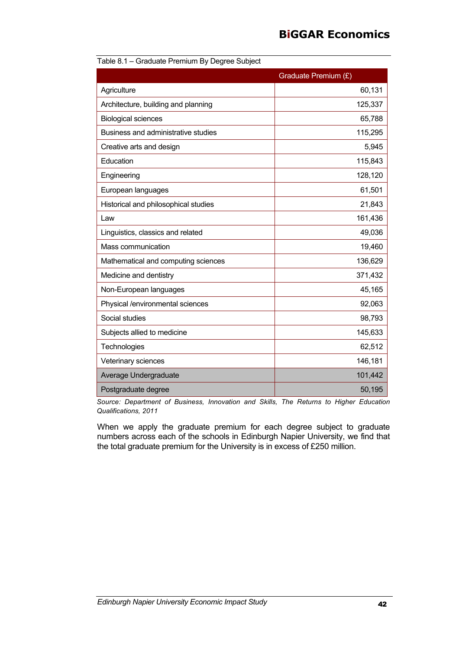## **BiGGAR Economics**

|                                      | Graduate Premium (£) |
|--------------------------------------|----------------------|
| Agriculture                          | 60,131               |
| Architecture, building and planning  | 125,337              |
| <b>Biological sciences</b>           | 65,788               |
| Business and administrative studies  | 115,295              |
| Creative arts and design             | 5,945                |
| Education                            | 115,843              |
| Engineering                          | 128,120              |
| European languages                   | 61,501               |
| Historical and philosophical studies | 21,843               |
| Law                                  | 161,436              |
| Linguistics, classics and related    | 49,036               |
| Mass communication                   | 19,460               |
| Mathematical and computing sciences  | 136,629              |
| Medicine and dentistry               | 371,432              |
| Non-European languages               | 45,165               |
| Physical /environmental sciences     | 92,063               |
| Social studies                       | 98,793               |
| Subjects allied to medicine          | 145,633              |
| Technologies                         | 62,512               |
| Veterinary sciences                  | 146,181              |
| Average Undergraduate                | 101,442              |
| Postgraduate degree                  | 50,195               |

Table 8.1 – Graduate Premium By Degree Subject

*Source: Department of Business, Innovation and Skills, The Returns to Higher Education Qualifications, 2011*

When we apply the graduate premium for each degree subject to graduate numbers across each of the schools in Edinburgh Napier University, we find that the total graduate premium for the University is in excess of £250 million.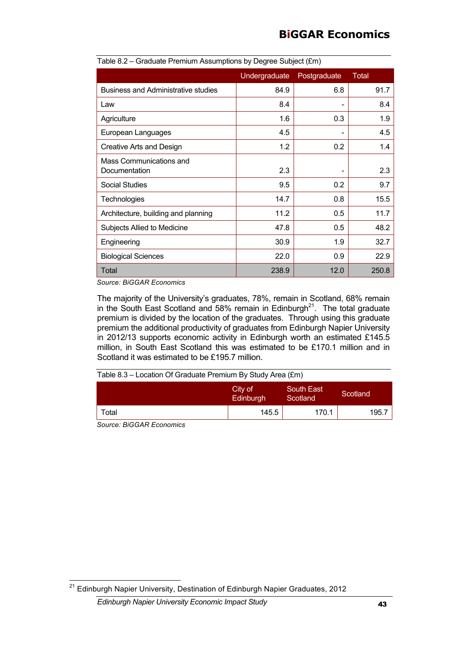| Table 8.2 – Graduate Premium Assumptions by Degree Subject (£m) |               |              |       |  |
|-----------------------------------------------------------------|---------------|--------------|-------|--|
|                                                                 | Undergraduate | Postgraduate | Total |  |
| <b>Business and Administrative studies</b>                      | 84.9          | 6.8          | 91.7  |  |
| Law                                                             | 8.4           |              | 8.4   |  |
| Agriculture                                                     | 1.6           | 0.3          | 1.9   |  |
| European Languages                                              | 4.5           |              | 4.5   |  |
| Creative Arts and Design                                        | 1.2           | 0.2          | 1.4   |  |
| Mass Communications and<br>Documentation                        | 2.3           |              | 2.3   |  |
| <b>Social Studies</b>                                           | 9.5           | 0.2          | 9.7   |  |
| <b>Technologies</b>                                             | 14.7          | 0.8          | 15.5  |  |
| Architecture, building and planning                             | 11.2          | 0.5          | 11.7  |  |
| Subjects Allied to Medicine                                     | 47.8          | 0.5          | 48.2  |  |
| Engineering                                                     | 30.9          | 1.9          | 32.7  |  |
| <b>Biological Sciences</b>                                      | 22.0          | 0.9          | 22.9  |  |
| Total                                                           | 238.9         | 12.0         | 250.8 |  |

| Table 8.2 – Graduate Premium Assumptions by Degree Subject (£m) |  |  |  |  |
|-----------------------------------------------------------------|--|--|--|--|
|                                                                 |  |  |  |  |
|                                                                 |  |  |  |  |

The majority of the University's graduates, 78%, remain in Scotland, 68% remain in the South East Scotland and 58% remain in Edinburgh<sup>21</sup>. The total graduate premium is divided by the location of the graduates. Through using this graduate premium the additional productivity of graduates from Edinburgh Napier University in 2012/13 supports economic activity in Edinburgh worth an estimated £145.5 million, in South East Scotland this was estimated to be £170.1 million and in Scotland it was estimated to be £195.7 million.

| Table $8.3$ – Location Of Graduate Premium By Study Area $(\text{Em})$ |               |  |
|------------------------------------------------------------------------|---------------|--|
|                                                                        | - - - - - - - |  |

|                    | City of<br>Edinburgh | South East<br>Scotland | Scotland |
|--------------------|----------------------|------------------------|----------|
| Total              | 145.5                | 170.1                  | 195.7    |
| $\cdots$<br>$\sim$ |                      |                        |          |

*Source: BiGGAR Economics*

 $^{21}$  Edinburgh Napier University, Destination of Edinburgh Napier Graduates, 2012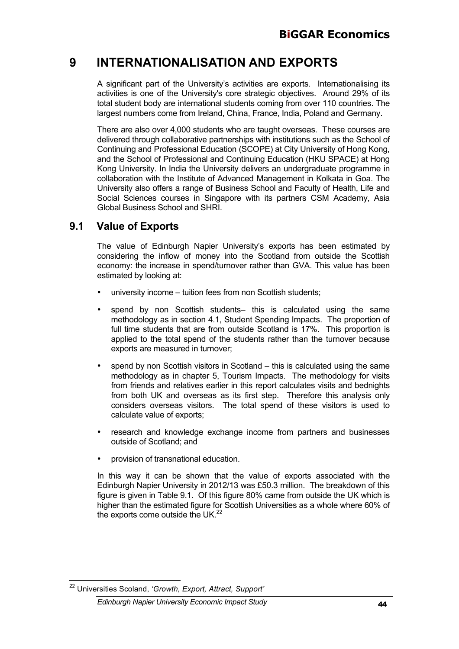## **9 INTERNATIONALISATION AND EXPORTS**

A significant part of the University's activities are exports. Internationalising its activities is one of the University's core strategic objectives. Around 29% of its total student body are international students coming from over 110 countries. The largest numbers come from Ireland, China, France, India, Poland and Germany.

There are also over 4,000 students who are taught overseas. These courses are delivered through collaborative partnerships with institutions such as the School of Continuing and Professional Education (SCOPE) at City University of Hong Kong, and the School of Professional and Continuing Education (HKU SPACE) at Hong Kong University. In India the University delivers an undergraduate programme in collaboration with the Institute of Advanced Management in Kolkata in Goa. The University also offers a range of Business School and Faculty of Health, Life and Social Sciences courses in Singapore with its partners CSM Academy, Asia Global Business School and SHRI.

### **9.1 Value of Exports**

The value of Edinburgh Napier University's exports has been estimated by considering the inflow of money into the Scotland from outside the Scottish economy: the increase in spend/turnover rather than GVA. This value has been estimated by looking at:

- university income tuition fees from non Scottish students;
- spend by non Scottish students– this is calculated using the same methodology as in section 4.1, Student Spending Impacts. The proportion of full time students that are from outside Scotland is 17%. This proportion is applied to the total spend of the students rather than the turnover because exports are measured in turnover;
- spend by non Scottish visitors in Scotland this is calculated using the same methodology as in chapter 5, Tourism Impacts. The methodology for visits from friends and relatives earlier in this report calculates visits and bednights from both UK and overseas as its first step. Therefore this analysis only considers overseas visitors. The total spend of these visitors is used to calculate value of exports;
- research and knowledge exchange income from partners and businesses outside of Scotland; and
- provision of transnational education.

In this way it can be shown that the value of exports associated with the Edinburgh Napier University in 2012/13 was £50.3 million. The breakdown of this figure is given in Table 9.1. Of this figure 80% came from outside the UK which is higher than the estimated figure for Scottish Universities as a whole where 60% of the exports come outside the UK.<sup>22</sup>

<sup>22</sup> Universities Scoland, *'Growth, Export, Attract, Support'*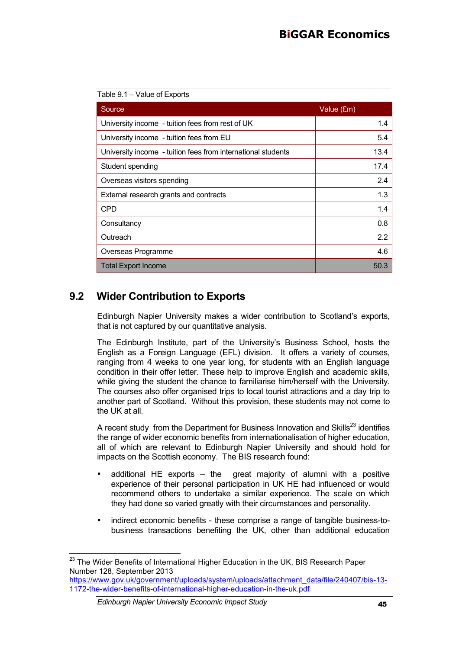| Table 9.1 - Value of Exports                                 |            |
|--------------------------------------------------------------|------------|
| Source                                                       | Value (£m) |
| University income - tuition fees from rest of UK             | 1.4        |
| University income - tuition fees from EU                     | 5.4        |
| University income - tuition fees from international students | 13.4       |
| Student spending                                             | 17.4       |
| Overseas visitors spending                                   | 2.4        |
| External research grants and contracts                       | 1.3        |
| <b>CPD</b>                                                   | 1.4        |
| Consultancy                                                  | 0.8        |
| Outreach                                                     | 2.2        |
| Overseas Programme                                           | 4.6        |
| <b>Total Export Income</b>                                   | 50.3       |

## **9.2 Wider Contribution to Exports**

Edinburgh Napier University makes a wider contribution to Scotland's exports, that is not captured by our quantitative analysis.

The Edinburgh Institute, part of the University's Business School, hosts the English as a Foreign Language (EFL) division. It offers a variety of courses, ranging from 4 weeks to one year long, for students with an English language condition in their offer letter. These help to improve English and academic skills, while giving the student the chance to familiarise him/herself with the University. The courses also offer organised trips to local tourist attractions and a day trip to another part of Scotland. Without this provision, these students may not come to the UK at all.

A recent study from the Department for Business Innovation and Skills<sup>23</sup> identifies the range of wider economic benefits from internationalisation of higher education, all of which are relevant to Edinburgh Napier University and should hold for impacts on the Scottish economy. The BIS research found:

- additional HE exports  $-$  the great majority of alumni with a positive experience of their personal participation in UK HE had influenced or would recommend others to undertake a similar experience. The scale on which they had done so varied greatly with their circumstances and personality.
- indirect economic benefits these comprise a range of tangible business-tobusiness transactions benefiting the UK, other than additional education

<sup>&</sup>lt;sup>23</sup> The Wider Benefits of International Higher Education in the UK, BIS Research Paper Number 128, September 2013 https://www.gov.uk/government/uploads/system/uploads/attachment\_data/file/240407/bis-13-

<sup>1172-</sup>the-wider-benefits-of-international-higher-education-in-the-uk.pdf

*Edinburgh Napier University Economic Impact Study* 45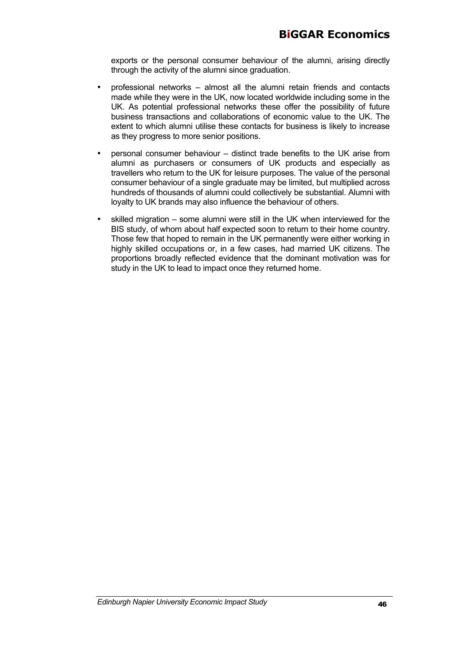exports or the personal consumer behaviour of the alumni, arising directly through the activity of the alumni since graduation.

- professional networks almost all the alumni retain friends and contacts made while they were in the UK, now located worldwide including some in the UK. As potential professional networks these offer the possibility of future business transactions and collaborations of economic value to the UK. The extent to which alumni utilise these contacts for business is likely to increase as they progress to more senior positions.
- personal consumer behaviour distinct trade benefits to the UK arise from alumni as purchasers or consumers of UK products and especially as travellers who return to the UK for leisure purposes. The value of the personal consumer behaviour of a single graduate may be limited, but multiplied across hundreds of thousands of alumni could collectively be substantial. Alumni with loyalty to UK brands may also influence the behaviour of others.
- skilled migration some alumni were still in the UK when interviewed for the BIS study, of whom about half expected soon to return to their home country. Those few that hoped to remain in the UK permanently were either working in highly skilled occupations or, in a few cases, had married UK citizens. The proportions broadly reflected evidence that the dominant motivation was for study in the UK to lead to impact once they returned home.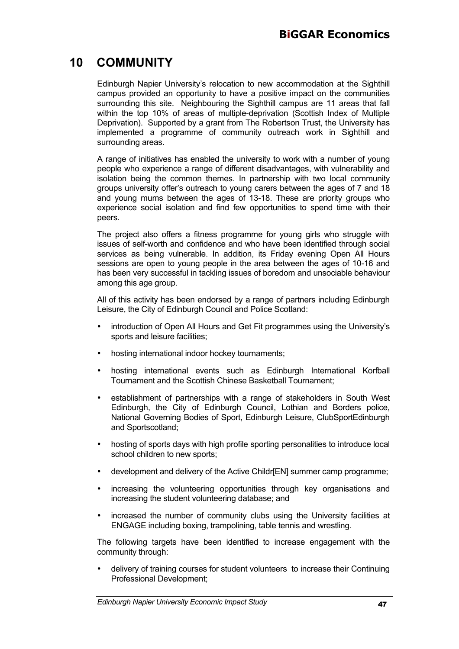## **10 COMMUNITY**

Edinburgh Napier University's relocation to new accommodation at the Sighthill campus provided an opportunity to have a positive impact on the communities surrounding this site. Neighbouring the Sighthill campus are 11 areas that fall within the top 10% of areas of multiple-deprivation (Scottish Index of Multiple Deprivation). Supported by a grant from The Robertson Trust, the University has implemented a programme of community outreach work in Sighthill and surrounding areas.

A range of initiatives has enabled the university to work with a number of young people who experience a range of different disadvantages, with vulnerability and isolation being the common themes. In partnership with two local community groups university offer's outreach to young carers between the ages of 7 and 18 and young mums between the ages of 13-18. These are priority groups who experience social isolation and find few opportunities to spend time with their peers.

The project also offers a fitness programme for young girls who struggle with issues of self-worth and confidence and who have been identified through social services as being vulnerable. In addition, its Friday evening Open All Hours sessions are open to young people in the area between the ages of 10-16 and has been very successful in tackling issues of boredom and unsociable behaviour among this age group.

All of this activity has been endorsed by a range of partners including Edinburgh Leisure, the City of Edinburgh Council and Police Scotland:

- introduction of Open All Hours and Get Fit programmes using the University's sports and leisure facilities;
- hosting international indoor hockey tournaments;
- hosting international events such as Edinburgh International Korfball Tournament and the Scottish Chinese Basketball Tournament;
- establishment of partnerships with a range of stakeholders in South West Edinburgh, the City of Edinburgh Council, Lothian and Borders police, National Governing Bodies of Sport, Edinburgh Leisure, ClubSportEdinburgh and Sportscotland;
- hosting of sports days with high profile sporting personalities to introduce local school children to new sports;
- development and delivery of the Active Childr[EN] summer camp programme;
- increasing the volunteering opportunities through key organisations and increasing the student volunteering database; and
- increased the number of community clubs using the University facilities at ENGAGE including boxing, trampolining, table tennis and wrestling.

The following targets have been identified to increase engagement with the community through:

• delivery of training courses for student volunteers to increase their Continuing Professional Development;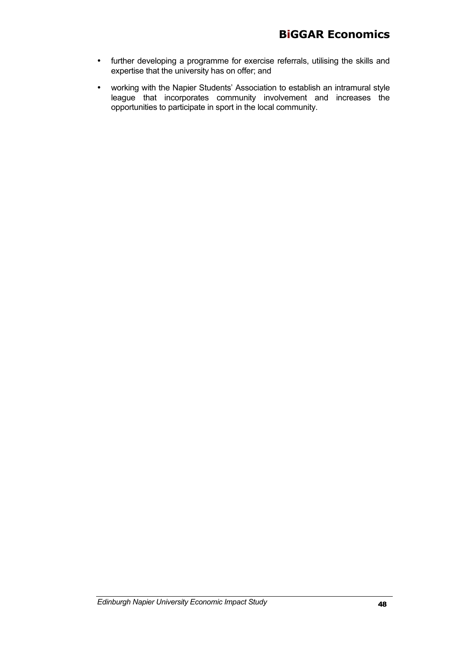- further developing a programme for exercise referrals, utilising the skills and expertise that the university has on offer; and
- working with the Napier Students' Association to establish an intramural style league that incorporates community involvement and increases the opportunities to participate in sport in the local community.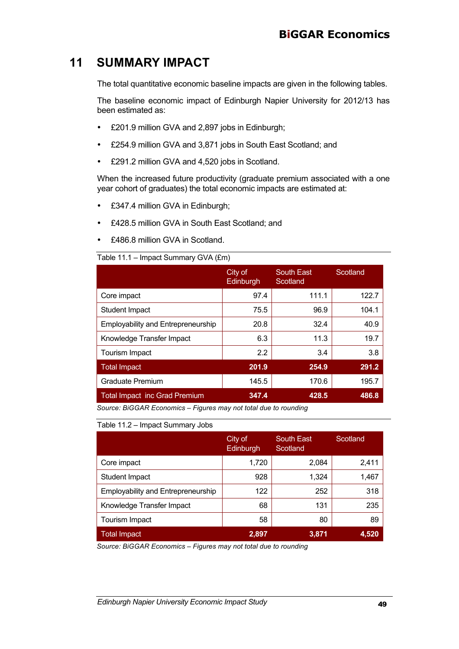## **11 SUMMARY IMPACT**

The total quantitative economic baseline impacts are given in the following tables.

The baseline economic impact of Edinburgh Napier University for 2012/13 has been estimated as:

- £201.9 million GVA and 2,897 jobs in Edinburgh;
- £254.9 million GVA and 3,871 jobs in South East Scotland; and
- £291.2 million GVA and 4,520 jobs in Scotland.

When the increased future productivity (graduate premium associated with a one year cohort of graduates) the total economic impacts are estimated at:

- £347.4 million GVA in Edinburgh;
- £428.5 million GVA in South East Scotland; and
- £486.8 million GVA in Scotland.

#### Table 11.1 – Impact Summary GVA (£m)

|                                           | City of<br>Edinburgh | South East<br>Scotland | Scotland |
|-------------------------------------------|----------------------|------------------------|----------|
| Core impact                               | 97.4                 | 111.1                  | 122.7    |
| <b>Student Impact</b>                     | 75.5                 | 96.9                   | 104.1    |
| <b>Employability and Entrepreneurship</b> | 20.8                 | 32.4                   | 40.9     |
| Knowledge Transfer Impact                 | 6.3                  | 11.3                   | 19.7     |
| Tourism Impact                            | 2.2                  | 3.4                    | 3.8      |
| Total Impact                              | 201.9                | 254.9                  | 291.2    |
| <b>Graduate Premium</b>                   | 145.5                | 170.6                  | 195.7    |
| <b>Total Impact inc Grad Premium</b>      | 347.4                | 428.5                  | 486.8    |

*Source: BiGGAR Economics – Figures may not total due to rounding*

#### Table 11.2 – Impact Summary Jobs

|                                           | City of<br>Edinburgh | South East<br>Scotland | Scotland |
|-------------------------------------------|----------------------|------------------------|----------|
| Core impact                               | 1,720                | 2,084                  | 2,411    |
| Student Impact                            | 928                  | 1,324                  | 1,467    |
| <b>Employability and Entrepreneurship</b> | 122                  | 252                    | 318      |
| Knowledge Transfer Impact                 | 68                   | 131                    | 235      |
| Tourism Impact                            | 58                   | 80                     | 89       |
| <b>Total Impact</b>                       | 2,897                | 3,871                  | 4,520    |

*Source: BiGGAR Economics – Figures may not total due to rounding*